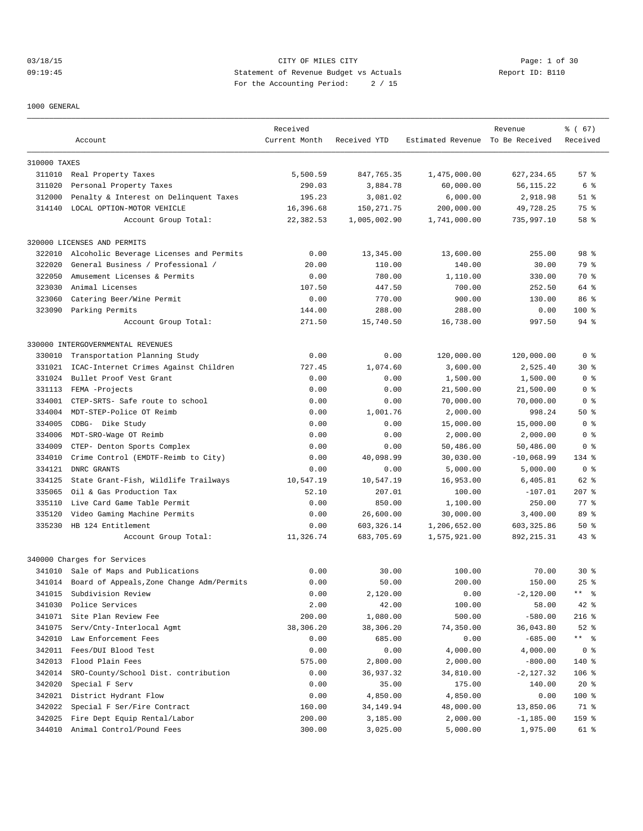# 03/18/15 Page: 1 of 30 09:19:45 Statement of Revenue Budget vs Actuals Report ID: B110 For the Accounting Period: 2 / 15

1000 GENERAL

|              | Account                                   | Received<br>Current Month | Received YTD | Estimated Revenue To Be Received | Revenue      | % (67)<br>Received |
|--------------|-------------------------------------------|---------------------------|--------------|----------------------------------|--------------|--------------------|
|              |                                           |                           |              |                                  |              |                    |
| 310000 TAXES |                                           |                           |              |                                  |              |                    |
| 311010       | Real Property Taxes                       | 5,500.59                  | 847,765.35   | 1,475,000.00                     | 627, 234.65  | 57%                |
| 311020       | Personal Property Taxes                   | 290.03                    | 3,884.78     | 60,000.00                        | 56,115.22    | 6 %                |
| 312000       | Penalty & Interest on Delinquent Taxes    | 195.23                    | 3,081.02     | 6,000.00                         | 2,918.98     | $51$ %             |
| 314140       | LOCAL OPTION-MOTOR VEHICLE                | 16,396.68                 | 150, 271.75  | 200,000.00                       | 49,728.25    | 75 %               |
|              | Account Group Total:                      | 22,382.53                 | 1,005,002.90 | 1,741,000.00                     | 735,997.10   | 58 <sup>8</sup>    |
|              | 320000 LICENSES AND PERMITS               |                           |              |                                  |              |                    |
| 322010       | Alcoholic Beverage Licenses and Permits   | 0.00                      | 13,345.00    | 13,600.00                        | 255.00       | 98 <sup>8</sup>    |
| 322020       | General Business / Professional /         | 20.00                     | 110.00       | 140.00                           | 30.00        | 79 %               |
| 322050       | Amusement Licenses & Permits              | 0.00                      | 780.00       | 1,110.00                         | 330.00       | 70 %               |
| 323030       | Animal Licenses                           | 107.50                    | 447.50       | 700.00                           | 252.50       | 64 %               |
| 323060       | Catering Beer/Wine Permit                 | 0.00                      | 770.00       | 900.00                           | 130.00       | 86%                |
|              | 323090 Parking Permits                    | 144.00                    | 288.00       | 288.00                           | 0.00         | $100$ %            |
|              | Account Group Total:                      | 271.50                    | 15,740.50    | 16,738.00                        | 997.50       | $94$ %             |
|              | 330000 INTERGOVERNMENTAL REVENUES         |                           |              |                                  |              |                    |
| 330010       | Transportation Planning Study             | 0.00                      | 0.00         | 120,000.00                       | 120,000.00   | 0 <sup>8</sup>     |
| 331021       | ICAC-Internet Crimes Against Children     | 727.45                    | 1,074.60     | 3,600.00                         | 2,525.40     | $30*$              |
| 331024       | Bullet Proof Vest Grant                   | 0.00                      | 0.00         | 1,500.00                         | 1,500.00     | 0 <sup>8</sup>     |
| 331113       | FEMA -Projects                            | 0.00                      | 0.00         | 21,500.00                        | 21,500.00    | 0 %                |
| 334001       | CTEP-SRTS- Safe route to school           | 0.00                      | 0.00         | 70,000.00                        | 70,000.00    | 0 <sub>8</sub>     |
| 334004       | MDT-STEP-Police OT Reimb                  | 0.00                      | 1,001.76     | 2,000.00                         | 998.24       | 50%                |
| 334005       | CDBG- Dike Study                          | 0.00                      | 0.00         | 15,000.00                        | 15,000.00    | 0 <sup>8</sup>     |
| 334006       | MDT-SRO-Wage OT Reimb                     | 0.00                      | 0.00         | 2,000.00                         | 2,000.00     | 0 <sub>8</sub>     |
| 334009       | CTEP- Denton Sports Complex               | 0.00                      | 0.00         | 50,486.00                        | 50,486.00    | 0 %                |
| 334010       | Crime Control (EMDTF-Reimb to City)       | 0.00                      | 40,098.99    | 30,030.00                        | $-10,068.99$ | 134 %              |
| 334121       | DNRC GRANTS                               | 0.00                      | 0.00         | 5,000.00                         | 5,000.00     | 0 <sub>8</sub>     |
| 334125       | State Grant-Fish, Wildlife Trailways      | 10,547.19                 | 10,547.19    | 16,953.00                        | 6,405.81     | 62 %               |
| 335065       | Oil & Gas Production Tax                  | 52.10                     | 207.01       | 100.00                           | $-107.01$    | $207$ %            |
| 335110       | Live Card Game Table Permit               | 0.00                      | 850.00       | 1,100.00                         | 250.00       | 77.8               |
| 335120       | Video Gaming Machine Permits              | 0.00                      | 26,600.00    | 30,000.00                        | 3,400.00     | 89 %               |
| 335230       | HB 124 Entitlement                        | 0.00                      | 603, 326.14  | 1,206,652.00                     | 603, 325.86  | 50%                |
|              | Account Group Total:                      | 11,326.74                 | 683,705.69   | 1,575,921.00                     | 892, 215.31  | $43$ %             |
|              | 340000 Charges for Services               |                           |              |                                  |              |                    |
|              | 341010 Sale of Maps and Publications      | 0.00                      | 30.00        | 100.00                           | 70.00        | $30*$              |
|              | Board of Appeals, Zone Change Adm/Permits | 0.00                      | 50.00        | 200.00                           | 150.00       | $25$ $%$           |
| 341014       |                                           |                           |              |                                  |              |                    |
| 341015       | Subdivision Review                        | 0.00                      | 2,120.00     | 0.00                             | $-2,120.00$  | ** 응               |
| 341030       | Police Services                           | 2.00                      | 42.00        | 100.00                           | 58.00        | $42$ %             |
| 341071       | Site Plan Review Fee                      | 200.00                    | 1,080.00     | 500.00                           | $-580.00$    | $216$ %            |
| 341075       | Serv/Cnty-Interlocal Agmt                 | 38,306.20                 | 38,306.20    | 74,350.00                        | 36,043.80    | $52$ $%$           |
| 342010       | Law Enforcement Fees                      | 0.00                      | 685.00       | 0.00                             | $-685.00$    | ** 응               |
| 342011       | Fees/DUI Blood Test                       | 0.00                      | 0.00         | 4,000.00                         | 4,000.00     | 0 <sup>8</sup>     |
| 342013       | Flood Plain Fees                          | 575.00                    | 2,800.00     | 2,000.00                         | $-800.00$    | 140 %              |
| 342014       | SRO-County/School Dist. contribution      | 0.00                      | 36,937.32    | 34,810.00                        | $-2,127.32$  | $106$ %            |
| 342020       | Special F Serv                            | 0.00                      | 35.00        | 175.00                           | 140.00       | $20*$              |
| 342021       | District Hydrant Flow                     | 0.00                      | 4,850.00     | 4,850.00                         | 0.00         | 100 %              |
| 342022       | Special F Ser/Fire Contract               | 160.00                    | 34,149.94    | 48,000.00                        | 13,850.06    | 71 %               |
| 342025       | Fire Dept Equip Rental/Labor              | 200.00                    | 3,185.00     | 2,000.00                         | $-1,185.00$  | 159 %              |
| 344010       | Animal Control/Pound Fees                 | 300.00                    | 3,025.00     | 5,000.00                         | 1,975.00     | 61 %               |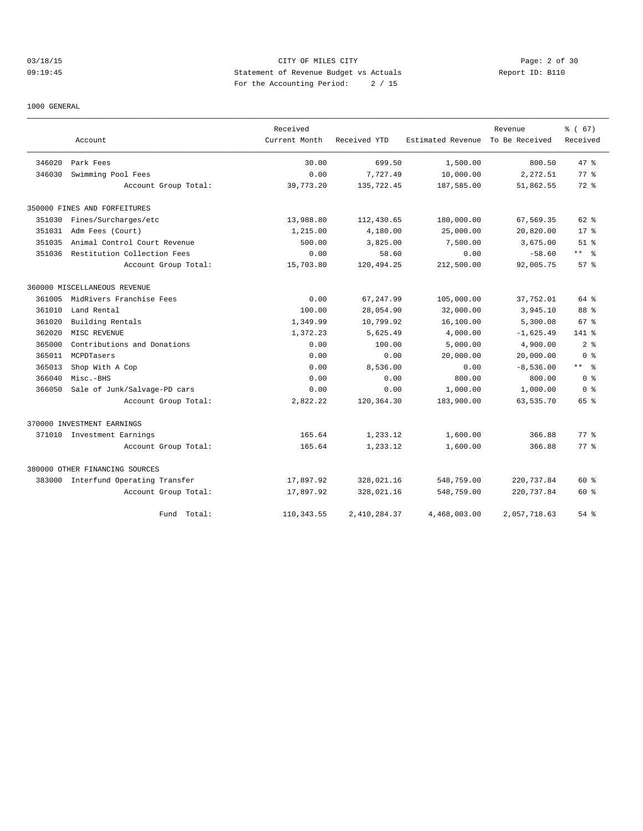## 03/18/15 Page: 2 of 30 09:19:45 Statement of Revenue Budget vs Actuals Report ID: B110 For the Accounting Period: 2 / 15

#### 1000 GENERAL

|        |                                     | Received      |              |                   | Revenue        | % (67)          |
|--------|-------------------------------------|---------------|--------------|-------------------|----------------|-----------------|
|        | Account                             | Current Month | Received YTD | Estimated Revenue | To Be Received | Received        |
| 346020 | Park Fees                           | 30.00         | 699.50       | 1,500.00          | 800.50         | 47.8            |
| 346030 | Swimming Pool Fees                  | 0.00          | 7,727.49     | 10,000.00         | 2,272.51       | 77.8            |
|        | Account Group Total:                | 39,773.20     | 135,722.45   | 187,585.00        | 51,862.55      | $72$ $%$        |
|        | 350000 FINES AND FORFEITURES        |               |              |                   |                |                 |
| 351030 | Fines/Surcharges/etc                | 13,988.80     | 112,430.65   | 180,000.00        | 67,569.35      | $62$ $%$        |
| 351031 | Adm Fees (Court)                    | 1,215.00      | 4,180.00     | 25,000.00         | 20,820.00      | $17*$           |
| 351035 | Animal Control Court Revenue        | 500.00        | 3,825.00     | 7,500.00          | 3,675.00       | $51$ $%$        |
| 351036 | Restitution Collection Fees         | 0.00          | 58.60        | 0.00              | $-58.60$       | $***$ 8         |
|        | Account Group Total:                | 15,703.80     | 120,494.25   | 212,500.00        | 92,005.75      | 57%             |
|        | 360000 MISCELLANEOUS REVENUE        |               |              |                   |                |                 |
| 361005 | MidRivers Franchise Fees            | 0.00          | 67, 247.99   | 105,000.00        | 37,752.01      | 64 %            |
| 361010 | Land Rental                         | 100.00        | 28,054.90    | 32,000.00         | 3,945.10       | 88 %            |
| 361020 | Building Rentals                    | 1,349.99      | 10,799.92    | 16,100.00         | 5,300.08       | 67 <sup>8</sup> |
| 362020 | MISC REVENUE                        | 1,372.23      | 5,625.49     | 4,000.00          | $-1,625.49$    | 141 %           |
| 365000 | Contributions and Donations         | 0.00          | 100.00       | 5,000.00          | 4,900.00       | 2 <sup>8</sup>  |
| 365011 | MCPDTasers                          | 0.00          | 0.00         | 20,000.00         | 20,000.00      | 0 <sup>8</sup>  |
| 365013 | Shop With A Cop                     | 0.00          | 8,536.00     | 0.00              | $-8,536.00$    | $***$ $ -$      |
| 366040 | Misc.-BHS                           | 0.00          | 0.00         | 800.00            | 800.00         | 0 <sup>8</sup>  |
| 366050 | Sale of Junk/Salvage-PD cars        | 0.00          | 0.00         | 1,000.00          | 1,000.00       | 0 <sup>8</sup>  |
|        | Account Group Total:                | 2,822.22      | 120,364.30   | 183,900.00        | 63,535.70      | 65 %            |
|        | 370000 INVESTMENT EARNINGS          |               |              |                   |                |                 |
|        | 371010 Investment Earnings          | 165.64        | 1,233.12     | 1,600.00          | 366.88         | 77.8            |
|        | Account Group Total:                | 165.64        | 1,233.12     | 1,600.00          | 366.88         | 77.8            |
|        | 380000 OTHER FINANCING SOURCES      |               |              |                   |                |                 |
|        | 383000 Interfund Operating Transfer | 17,897.92     | 328,021.16   | 548,759.00        | 220,737.84     | $60*$           |
|        | Account Group Total:                | 17,897.92     | 328,021.16   | 548,759.00        | 220,737.84     | 60 %            |
|        | Fund Total:                         | 110, 343.55   | 2,410,284.37 | 4,468,003.00      | 2,057,718.63   | $54$ $%$        |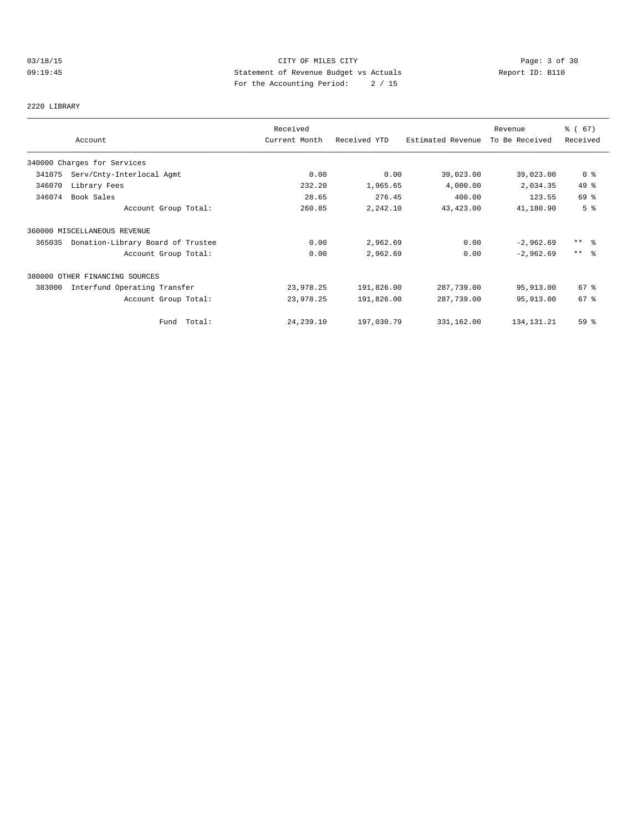# 03/18/15 Page: 3 of 30 09:19:45 Statement of Revenue Budget vs Actuals Report ID: B110 For the Accounting Period: 2 / 15

2220 LIBRARY

|        |                                   | Received      |              |                   | Revenue        | % (67)         |
|--------|-----------------------------------|---------------|--------------|-------------------|----------------|----------------|
|        | Account                           | Current Month | Received YTD | Estimated Revenue | To Be Received | Received       |
|        | 340000 Charges for Services       |               |              |                   |                |                |
| 341075 | Serv/Cnty-Interlocal Agmt         | 0.00          | 0.00         | 39,023.00         | 39,023.00      | 0 <sup>8</sup> |
| 346070 | Library Fees                      | 232.20        | 1,965.65     | 4,000.00          | 2,034.35       | 49 %           |
| 346074 | Book Sales                        | 28.65         | 276.45       | 400.00            | 123.55         | 69 %           |
|        | Account Group Total:              | 260.85        | 2,242.10     | 43,423.00         | 41,180.90      | 5 <sup>8</sup> |
|        | 360000 MISCELLANEOUS REVENUE      |               |              |                   |                |                |
| 365035 | Donation-Library Board of Trustee | 0.00          | 2,962.69     | 0.00              | $-2,962.69$    | ** 왕           |
|        | Account Group Total:              | 0.00          | 2,962.69     | 0.00              | $-2,962.69$    | $***$ 8        |
|        | 380000 OTHER FINANCING SOURCES    |               |              |                   |                |                |
| 383000 | Interfund Operating Transfer      | 23,978.25     | 191,826.00   | 287,739.00        | 95,913.00      | $67$ %         |
|        | Account Group Total:              | 23,978.25     | 191,826.00   | 287,739.00        | 95,913.00      | 67%            |
|        | Fund Total:                       | 24, 239.10    | 197,030.79   | 331,162.00        | 134, 131. 21   | 59 %           |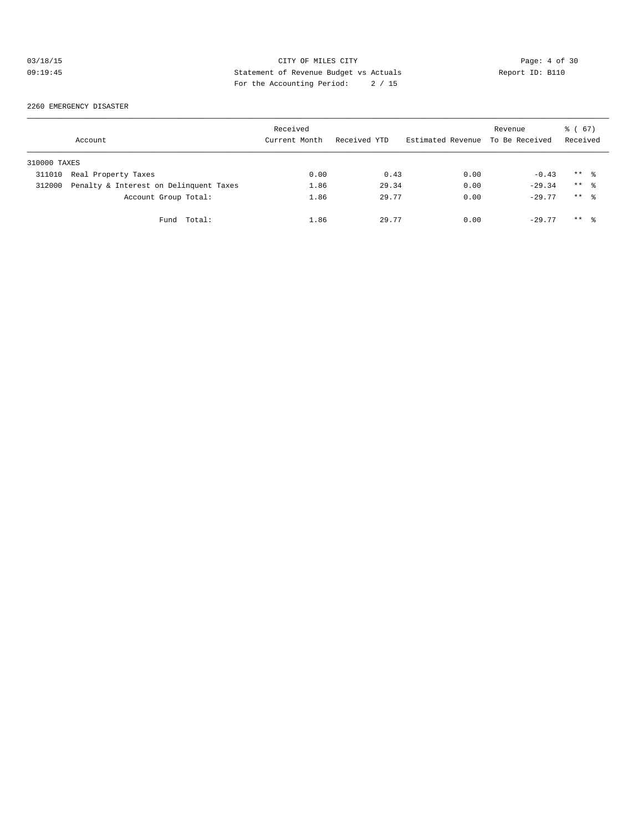# 03/18/15 CITY OF MILES CITY Page: 4 of 30 09:19:45 Statement of Revenue Budget vs Actuals Report ID: B110 For the Accounting Period: 2 / 15

2260 EMERGENCY DISASTER

|              | Account                                | Received<br>Current Month | Received YTD | Estimated Revenue | Revenue<br>To Be Received | 67)<br>ී (<br>Received |
|--------------|----------------------------------------|---------------------------|--------------|-------------------|---------------------------|------------------------|
| 310000 TAXES |                                        |                           |              |                   |                           |                        |
| 311010       | Real Property Taxes                    | 0.00                      | 0.43         | 0.00              | $-0.43$                   | $***$ %                |
| 312000       | Penalty & Interest on Delinquent Taxes | 1.86                      | 29.34        | 0.00              | $-29.34$                  | $***$ %                |
|              | Account Group Total:                   | 1.86                      | 29.77        | 0.00              | $-29.77$                  | $***$ 2                |
|              | Fund Total:                            | 1.86                      | 29.77        | 0.00              | $-29.77$                  | $***$ %                |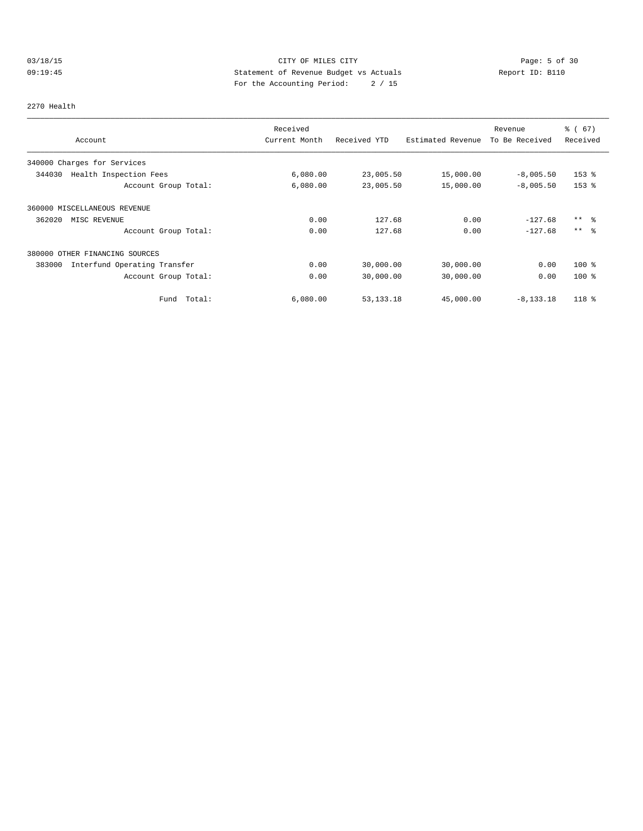# 03/18/15 Page: 5 of 30 09:19:45 Statement of Revenue Budget vs Actuals Report ID: B110 For the Accounting Period: 2 / 15

#### 2270 Health

| Account                                | Received<br>Current Month | Received YTD | Estimated Revenue | Revenue<br>To Be Received | 8 ( 67 )<br>Received |
|----------------------------------------|---------------------------|--------------|-------------------|---------------------------|----------------------|
|                                        |                           |              |                   |                           |                      |
| 340000 Charges for Services            |                           |              |                   |                           |                      |
| Health Inspection Fees<br>344030       | 6,080.00                  | 23,005.50    | 15,000.00         | $-8,005.50$               | $153$ $\frac{6}{3}$  |
| Account Group Total:                   | 6,080.00                  | 23,005.50    | 15,000.00         | $-8,005.50$               | $153$ $%$            |
| 360000 MISCELLANEOUS REVENUE           |                           |              |                   |                           |                      |
| 362020<br>MISC REVENUE                 | 0.00                      | 127.68       | 0.00              | $-127.68$                 | $***$ $\frac{6}{6}$  |
| Account Group Total:                   | 0.00                      | 127.68       | 0.00              | $-127.68$                 | $***$ %              |
| 380000 OTHER FINANCING SOURCES         |                           |              |                   |                           |                      |
| 383000<br>Interfund Operating Transfer | 0.00                      | 30,000.00    | 30,000.00         | 0.00                      | $100*$               |
| Account Group Total:                   | 0.00                      | 30,000.00    | 30,000.00         | 0.00                      | $100*$               |
| Total:<br>Fund                         | 6,080.00                  | 53, 133. 18  | 45,000.00         | $-8, 133, 18$             | 118 %                |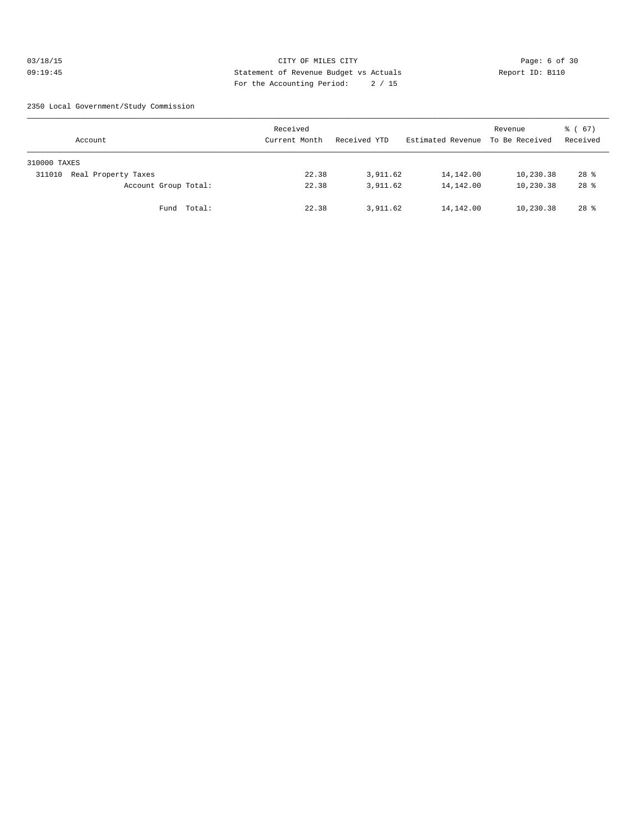## 03/18/15 CITY OF MILES CITY Page: 6 of 30 09:19:45 Statement of Revenue Budget vs Actuals Report ID: B110 For the Accounting Period: 2 / 15

2350 Local Government/Study Commission

| Account                       | Received<br>Current Month | Received YTD | Estimated Revenue | Revenue<br>To Be Received | 8 ( 67 )<br>Received |
|-------------------------------|---------------------------|--------------|-------------------|---------------------------|----------------------|
| 310000 TAXES                  |                           |              |                   |                           |                      |
| Real Property Taxes<br>311010 | 22.38                     | 3,911.62     | 14,142.00         | 10,230.38                 | $28$ %               |
| Account Group Total:          | 22.38                     | 3,911.62     | 14,142.00         | 10,230.38                 | $28$ %               |
| Total:<br>Fund                | 22.38                     | 3,911.62     | 14,142.00         | 10,230.38                 | $28$ $%$             |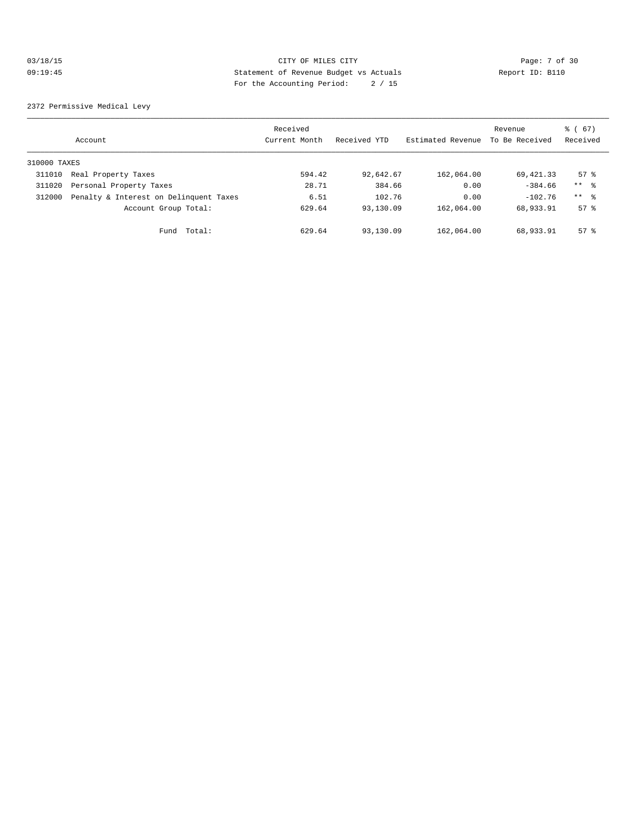## 03/18/15 Page: 7 of 30 09:19:45 Statement of Revenue Budget vs Actuals Report ID: B110 For the Accounting Period: 2 / 15

2372 Permissive Medical Levy

|              | Account                                | Received<br>Current Month | Received YTD | Estimated Revenue | Revenue<br>To Be Received | % (67)<br>Received |
|--------------|----------------------------------------|---------------------------|--------------|-------------------|---------------------------|--------------------|
| 310000 TAXES |                                        |                           |              |                   |                           |                    |
| 311010       | Real Property Taxes                    | 594.42                    | 92,642.67    | 162,064.00        | 69,421.33                 | $57$ $\frac{6}{3}$ |
| 311020       | Personal Property Taxes                | 28.71                     | 384.66       | 0.00              | $-384.66$                 | $***$ $\approx$    |
| 312000       | Penalty & Interest on Delinquent Taxes | 6.51                      | 102.76       | 0.00              | $-102.76$                 | $***$ $\approx$    |
|              | Account Group Total:                   | 629.64                    | 93,130.09    | 162,064.00        | 68,933.91                 | 57 <sup>8</sup>    |
|              | Total:<br>Fund                         | 629.64                    | 93,130.09    | 162,064.00        | 68,933.91                 | $57$ $\frac{6}{3}$ |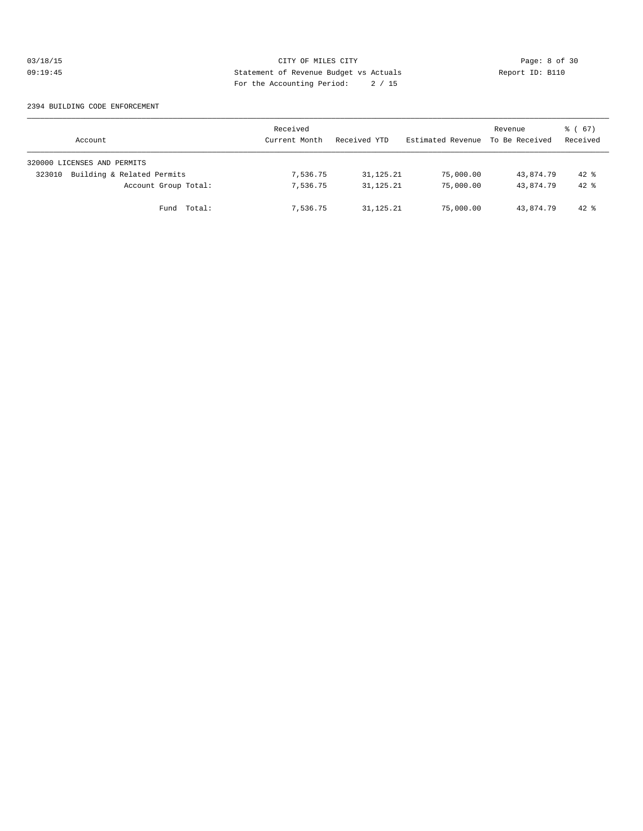## 03/18/15 CITY OF MILES CITY Page: 8 of 30<br>09:19:45 CITY Page: 8 of 30<br>09:19:45 CITY Page: 8 of 30<br>0.15 09:19:45 Statement of Revenue Budget vs Actuals Report ID: B110 For the Accounting Period: 2 / 15

#### 2394 BUILDING CODE ENFORCEMENT

| Account                              | Received<br>Current Month | Received YTD | Estimated Revenue | Revenue<br>To Be Received | 8 ( 67 )<br>Received |
|--------------------------------------|---------------------------|--------------|-------------------|---------------------------|----------------------|
| 320000 LICENSES AND PERMITS          |                           |              |                   |                           |                      |
| Building & Related Permits<br>323010 | 7,536.75                  | 31, 125, 21  | 75,000.00         | 43,874.79                 | $42*$                |
| Account Group Total:                 | 7,536.75                  | 31, 125, 21  | 75,000.00         | 43,874.79                 | $42*$                |
| Fund Total:                          | 7,536.75                  | 31,125.21    | 75,000.00         | 43,874.79                 | $42$ %               |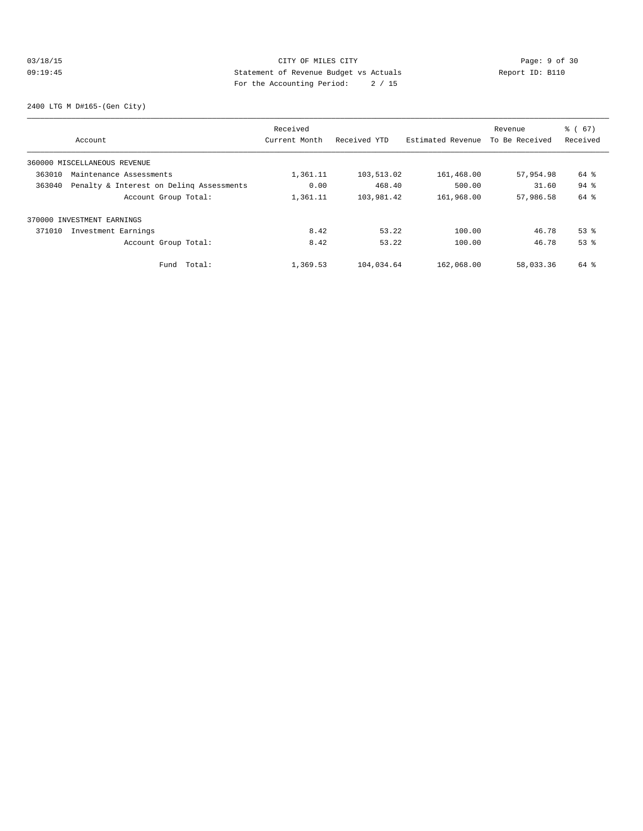## 03/18/15 CITY OF MILES CITY CHES CITY Page: 9 of 30<br>09:19:45 CITY Page: 9 Of 30<br>20:19:45 CITY Page: 9 Of 30<br>20:19:45 City Page: 20:45 09:19:45 Statement of Revenue Budget vs Actuals Report ID: B110 For the Accounting Period: 2 / 15

2400 LTG M D#165-(Gen City)

|        |                                          | Received      |              |                   | Revenue        | % (67)   |
|--------|------------------------------------------|---------------|--------------|-------------------|----------------|----------|
|        | Account                                  | Current Month | Received YTD | Estimated Revenue | To Be Received | Received |
|        | 360000 MISCELLANEOUS REVENUE             |               |              |                   |                |          |
| 363010 | Maintenance Assessments                  | 1,361.11      | 103,513.02   | 161,468.00        | 57,954.98      | 64 %     |
| 363040 | Penalty & Interest on Deling Assessments | 0.00          | 468.40       | 500.00            | 31.60          | $94$ $%$ |
|        | Account Group Total:                     | 1,361.11      | 103,981.42   | 161,968.00        | 57,986.58      | 64 %     |
|        | 370000 INVESTMENT EARNINGS               |               |              |                   |                |          |
| 371010 | Investment Earnings                      | 8.42          | 53.22        | 100.00            | 46.78          | $53$ $%$ |
|        | Account Group Total:                     | 8.42          | 53.22        | 100.00            | 46.78          | 53%      |
|        | Total:<br>Fund                           | 1,369.53      | 104,034.64   | 162,068.00        | 58,033.36      | 64 %     |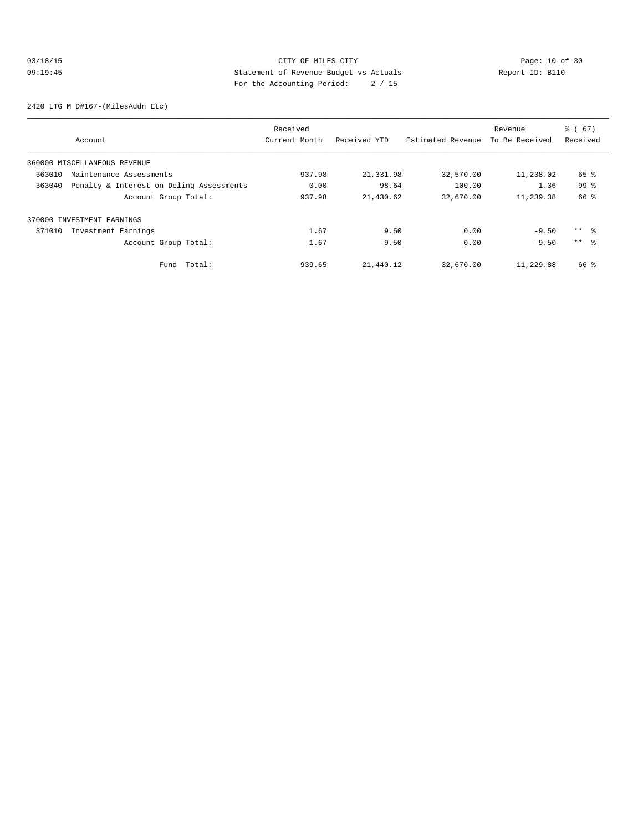# 03/18/15 CITY OF MILES CITY<br>
09:19:45 Page: 10 of 30<br>
29:19:45 Page: 10 of 30<br>
20:19:45 Page: 10 of 30<br>
20:19:45 Page: 10 of 30<br>
20:19:45 Page: 10 of 30<br>
20:19:45 09:19:45 Statement of Revenue Budget vs Actuals Report ID: B110 For the Accounting Period: 2 / 15

2420 LTG M D#167-(MilesAddn Etc)

|        |                                          | Received      |              |                   | Revenue        | % (67)          |
|--------|------------------------------------------|---------------|--------------|-------------------|----------------|-----------------|
|        | Account                                  | Current Month | Received YTD | Estimated Revenue | To Be Received | Received        |
|        | 360000 MISCELLANEOUS REVENUE             |               |              |                   |                |                 |
| 363010 | Maintenance Assessments                  | 937.98        | 21,331.98    | 32,570.00         | 11,238.02      | 65 %            |
| 363040 | Penalty & Interest on Deling Assessments | 0.00          | 98.64        | 100.00            | 1.36           | 99%             |
|        | Account Group Total:                     | 937.98        | 21,430.62    | 32,670.00         | 11,239.38      | 66 %            |
|        | 370000 INVESTMENT EARNINGS               |               |              |                   |                |                 |
| 371010 | Investment Earnings                      | 1.67          | 9.50         | 0.00              | $-9.50$        | $***$ $\approx$ |
|        | Account Group Total:                     | 1.67          | 9.50         | 0.00              | $-9.50$        | $***$ $\approx$ |
|        | Total:<br>Fund                           | 939.65        | 21,440.12    | 32,670.00         | 11,229.88      | 66 %            |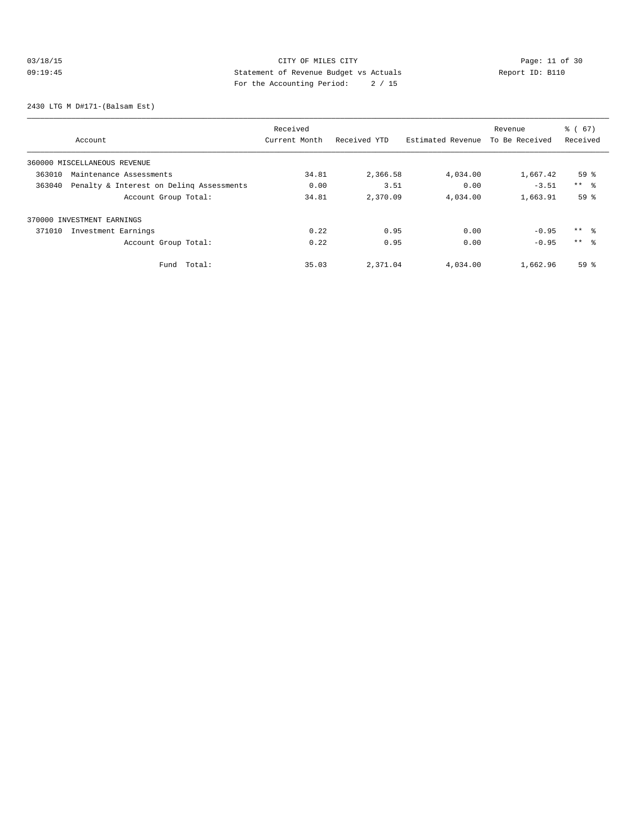# 03/18/15 Page: 11 of 30 09:19:45 Statement of Revenue Budget vs Actuals Report ID: B110 For the Accounting Period: 2 / 15

2430 LTG M D#171-(Balsam Est)

|                                                    | Received      |              |                   | Revenue        | % (67)          |
|----------------------------------------------------|---------------|--------------|-------------------|----------------|-----------------|
| Account                                            | Current Month | Received YTD | Estimated Revenue | To Be Received | Received        |
| 360000 MISCELLANEOUS REVENUE                       |               |              |                   |                |                 |
| 363010<br>Maintenance Assessments                  | 34.81         | 2,366.58     | 4,034.00          | 1,667.42       | 59 <sup>8</sup> |
| Penalty & Interest on Deling Assessments<br>363040 | 0.00          | 3.51         | 0.00              | $-3.51$        | $***$ $ -$      |
| Account Group Total:                               | 34.81         | 2,370.09     | 4,034.00          | 1,663.91       | 59 <sup>°</sup> |
| 370000 INVESTMENT EARNINGS                         |               |              |                   |                |                 |
| 371010<br>Investment Earnings                      | 0.22          | 0.95         | 0.00              | $-0.95$        | $***$ %         |
| Account Group Total:                               | 0.22          | 0.95         | 0.00              | $-0.95$        | $***$ $\approx$ |
| Total:<br>Fund                                     | 35.03         | 2,371.04     | 4,034.00          | 1,662.96       | 59 <sup>°</sup> |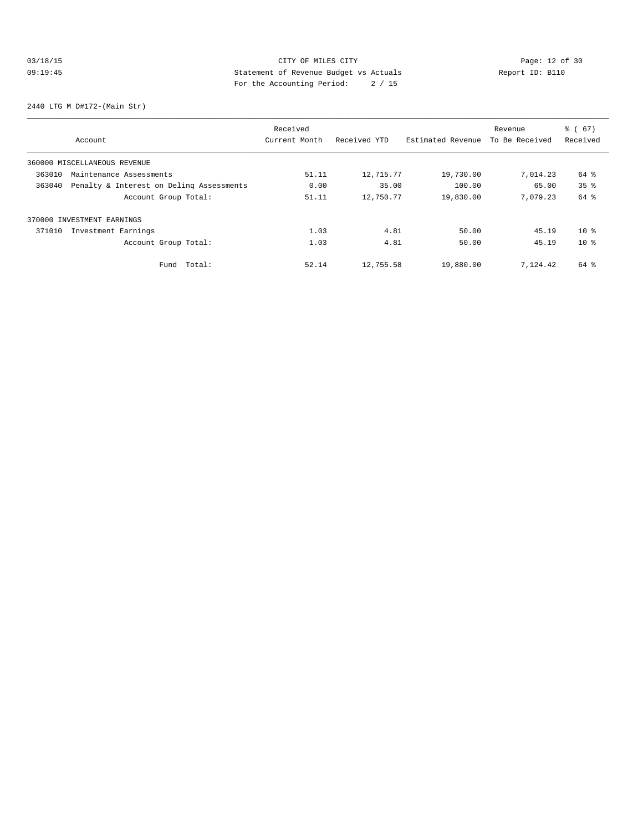# 03/18/15 Page: 12 of 30 09:19:45 Statement of Revenue Budget vs Actuals Report ID: B110<br>
Report ID: B110 For the Accounting Period: 2 / 15

2440 LTG M D#172-(Main Str)

|        |                                          | Received      |              |                   | Revenue        | % (67)          |
|--------|------------------------------------------|---------------|--------------|-------------------|----------------|-----------------|
|        | Account                                  | Current Month | Received YTD | Estimated Revenue | To Be Received | Received        |
|        | 360000 MISCELLANEOUS REVENUE             |               |              |                   |                |                 |
| 363010 | Maintenance Assessments                  | 51.11         | 12,715.77    | 19,730.00         | 7,014.23       | 64 %            |
| 363040 | Penalty & Interest on Deling Assessments | 0.00          | 35.00        | 100.00            | 65.00          | 35 <sup>8</sup> |
|        | Account Group Total:                     | 51.11         | 12,750.77    | 19,830.00         | 7.079.23       | 64 %            |
|        | 370000 INVESTMENT EARNINGS               |               |              |                   |                |                 |
| 371010 | Investment Earnings                      | 1.03          | 4.81         | 50.00             | 45.19          | $10*$           |
|        | Account Group Total:                     | 1.03          | 4.81         | 50.00             | 45.19          | $10*$           |
|        | Total:<br>Fund                           | 52.14         | 12,755.58    | 19,880.00         | 7,124.42       | 64 %            |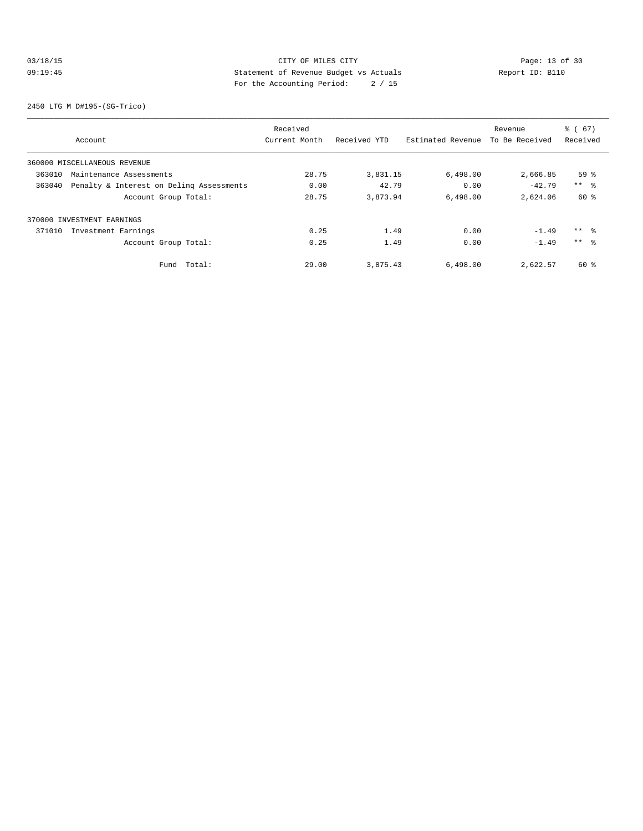# 03/18/15 Page: 13 of 30 09:19:45 Statement of Revenue Budget vs Actuals Report ID: B110 For the Accounting Period: 2 / 15

2450 LTG M D#195-(SG-Trico)

|        |                                          | Received      |              |                   | Revenue        | % (67)              |
|--------|------------------------------------------|---------------|--------------|-------------------|----------------|---------------------|
|        | Account                                  | Current Month | Received YTD | Estimated Revenue | To Be Received | Received            |
|        | 360000 MISCELLANEOUS REVENUE             |               |              |                   |                |                     |
| 363010 | Maintenance Assessments                  | 28.75         | 3,831.15     | 6,498.00          | 2,666.85       | 59 <sup>°</sup>     |
| 363040 | Penalty & Interest on Deling Assessments | 0.00          | 42.79        | 0.00              | $-42.79$       | $***$ $\frac{6}{5}$ |
|        | Account Group Total:                     | 28.75         | 3,873.94     | 6.498.00          | 2,624.06       | 60 %                |
|        | 370000 INVESTMENT EARNINGS               |               |              |                   |                |                     |
| 371010 | Investment Earnings                      | 0.25          | 1.49         | 0.00              | $-1.49$        | $***$ %             |
|        | Account Group Total:                     | 0.25          | 1.49         | 0.00              | $-1.49$        | $***$ $\approx$     |
|        | Total:<br>Fund                           | 29.00         | 3,875.43     | 6,498.00          | 2,622.57       | $60*$               |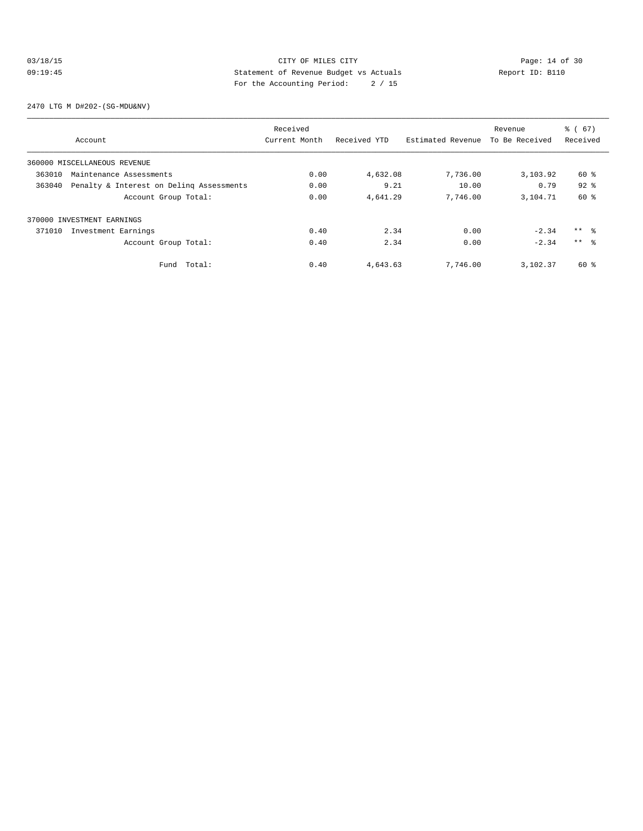## 03/18/15 Page: 14 of 30 09:19:45 Statement of Revenue Budget vs Actuals Report ID: B110 For the Accounting Period: 2 / 15

2470 LTG M D#202-(SG-MDU&NV)

|        |                                          | Received      |              |                   | Revenue        | % (67)          |
|--------|------------------------------------------|---------------|--------------|-------------------|----------------|-----------------|
|        | Account                                  | Current Month | Received YTD | Estimated Revenue | To Be Received | Received        |
|        | 360000 MISCELLANEOUS REVENUE             |               |              |                   |                |                 |
| 363010 | Maintenance Assessments                  | 0.00          | 4,632.08     | 7,736.00          | 3,103.92       | 60 %            |
| 363040 | Penalty & Interest on Deling Assessments | 0.00          | 9.21         | 10.00             | 0.79           | $92$ $%$        |
|        | Account Group Total:                     | 0.00          | 4,641.29     | 7,746.00          | 3,104.71       | 60 %            |
|        | 370000 INVESTMENT EARNINGS               |               |              |                   |                |                 |
| 371010 | Investment Earnings                      | 0.40          | 2.34         | 0.00              | $-2.34$        | $***$ $\approx$ |
|        | Account Group Total:                     | 0.40          | 2.34         | 0.00              | $-2.34$        | $***$ %         |
|        | Total:<br>Fund                           | 0.40          | 4,643.63     | 7,746.00          | 3,102.37       | 60 %            |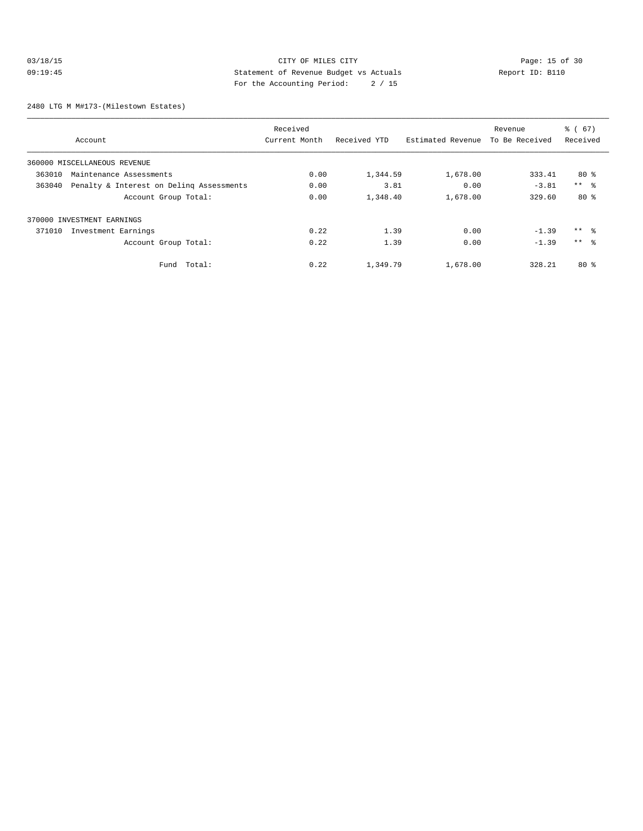## 03/18/15 Page: 15 of 30 09:19:45 Statement of Revenue Budget vs Actuals Report ID: B110 For the Accounting Period: 2 / 15

2480 LTG M M#173-(Milestown Estates)

|        |                                          | Received      |              |                   | Revenue        | % (67)     |
|--------|------------------------------------------|---------------|--------------|-------------------|----------------|------------|
|        | Account                                  | Current Month | Received YTD | Estimated Revenue | To Be Received | Received   |
|        | 360000 MISCELLANEOUS REVENUE             |               |              |                   |                |            |
| 363010 | Maintenance Assessments                  | 0.00          | 1,344.59     | 1,678.00          | 333.41         | 80%        |
| 363040 | Penalty & Interest on Deling Assessments | 0.00          | 3.81         | 0.00              | $-3.81$        | $***$ $ -$ |
|        | Account Group Total:                     | 0.00          | 1,348.40     | 1,678.00          | 329.60         | $80*$      |
|        | 370000 INVESTMENT EARNINGS               |               |              |                   |                |            |
| 371010 | Investment Earnings                      | 0.22          | 1.39         | 0.00              | $-1.39$        | $***$ $ -$ |
|        | Account Group Total:                     | 0.22          | 1.39         | 0.00              | $-1.39$        | $***$ 8    |
|        | Fund Total:                              | 0.22          | 1,349.79     | 1,678.00          | 328.21         | $80*$      |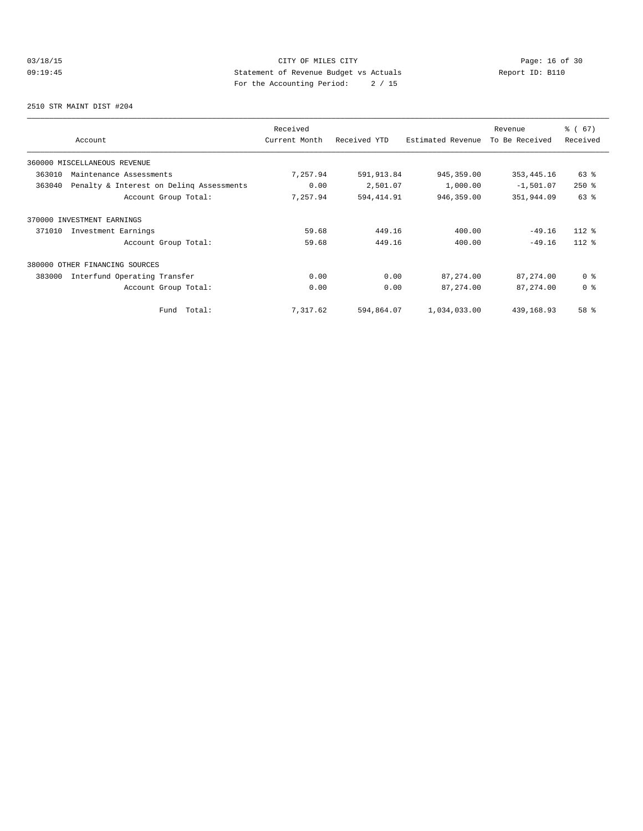# 03/18/15 Page: 16 of 30 09:19:45 Statement of Revenue Budget vs Actuals Report ID: B110<br>
Report ID: B110 For the Accounting Period: 2 / 15

2510 STR MAINT DIST #204

| Account                                            | Received<br>Current Month | Received YTD | Estimated Revenue | Revenue<br>To Be Received | % (67)<br>Received |
|----------------------------------------------------|---------------------------|--------------|-------------------|---------------------------|--------------------|
| 360000 MISCELLANEOUS REVENUE                       |                           |              |                   |                           |                    |
| 363010<br>Maintenance Assessments                  | 7,257.94                  | 591,913.84   | 945, 359.00       | 353, 445.16               | $63$ $%$           |
| Penalty & Interest on Deling Assessments<br>363040 | 0.00                      | 2,501.07     | 1,000.00          | $-1,501.07$               | $250*$             |
| Account Group Total:                               | 7,257.94                  | 594,414.91   | 946,359.00        | 351,944.09                | $63$ $%$           |
| 370000 INVESTMENT EARNINGS                         |                           |              |                   |                           |                    |
| 371010<br>Investment Earnings                      | 59.68                     | 449.16       | 400.00            | $-49.16$                  | $112*$             |
| Account Group Total:                               | 59.68                     | 449.16       | 400.00            | $-49.16$                  | $112*$             |
| 380000 OTHER FINANCING SOURCES                     |                           |              |                   |                           |                    |
| 383000<br>Interfund Operating Transfer             | 0.00                      | 0.00         | 87,274.00         | 87, 274.00                | 0 <sup>8</sup>     |
| Account Group Total:                               | 0.00                      | 0.00         | 87, 274.00        | 87, 274.00                | 0 <sup>8</sup>     |
| Total:<br>Fund                                     | 7,317.62                  | 594,864.07   | 1,034,033.00      | 439,168.93                | 58 %               |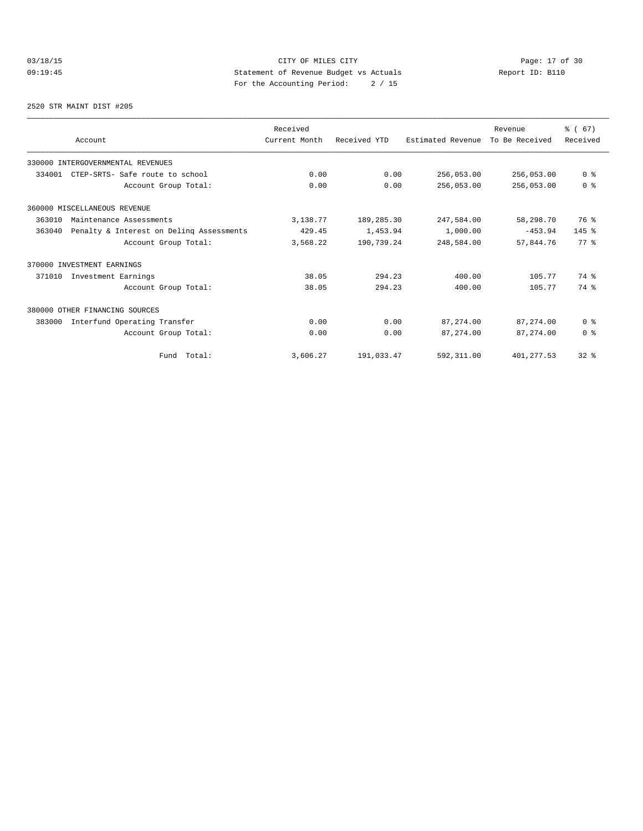# 03/18/15 CITY OF MILES CITY<br>
09:19:45 Page: 17 of 30<br>
Statement of Revenue Budget vs Actuals<br>
Page: 17 of 2001 Page: 17 of 30<br>
Page: 17 of 30<br>
Page: 17 of 30<br>
Page: 17 of 30<br>
Page: 17 of 30<br>
Page: 17 of 30 09:19:45 Statement of Revenue Budget vs Actuals Report ID: B110 For the Accounting Period: 2 / 15

#### 2520 STR MAINT DIST #205

|        |                                          | Received      |              |                   | Revenue        | % (67)                  |
|--------|------------------------------------------|---------------|--------------|-------------------|----------------|-------------------------|
|        | Account                                  | Current Month | Received YTD | Estimated Revenue | To Be Received | Received                |
|        | 330000 INTERGOVERNMENTAL REVENUES        |               |              |                   |                |                         |
| 334001 | CTEP-SRTS- Safe route to school          | 0.00          | 0.00         | 256,053.00        | 256,053.00     | 0 <sup>8</sup>          |
|        | Account Group Total:                     | 0.00          | 0.00         | 256,053.00        | 256,053.00     | 0 <sup>8</sup>          |
|        | 360000 MISCELLANEOUS REVENUE             |               |              |                   |                |                         |
| 363010 | Maintenance Assessments                  | 3,138.77      | 189,285.30   | 247,584.00        | 58,298.70      | 76 %                    |
| 363040 | Penalty & Interest on Deling Assessments | 429.45        | 1,453.94     | 1,000.00          | $-453.94$      | $145$ %                 |
|        | Account Group Total:                     | 3,568.22      | 190,739.24   | 248,584.00        | 57,844.76      | $77*$                   |
|        | 370000 INVESTMENT EARNINGS               |               |              |                   |                |                         |
| 371010 | Investment Earnings                      | 38.05         | 294.23       | 400.00            | 105.77         | 74 %                    |
|        | Account Group Total:                     | 38.05         | 294.23       | 400.00            | 105.77         | 74 %                    |
|        | 380000 OTHER FINANCING SOURCES           |               |              |                   |                |                         |
| 383000 | Interfund Operating Transfer             | 0.00          | 0.00         | 87,274.00         | 87, 274.00     | 0 <sup>8</sup>          |
|        | Account Group Total:                     | 0.00          | 0.00         | 87, 274, 00       | 87, 274, 00    | $0 \text{ }$ $\text{ }$ |
|        | Fund Total:                              | 3,606.27      | 191,033.47   | 592,311.00        | 401, 277.53    | 32 <sup>8</sup>         |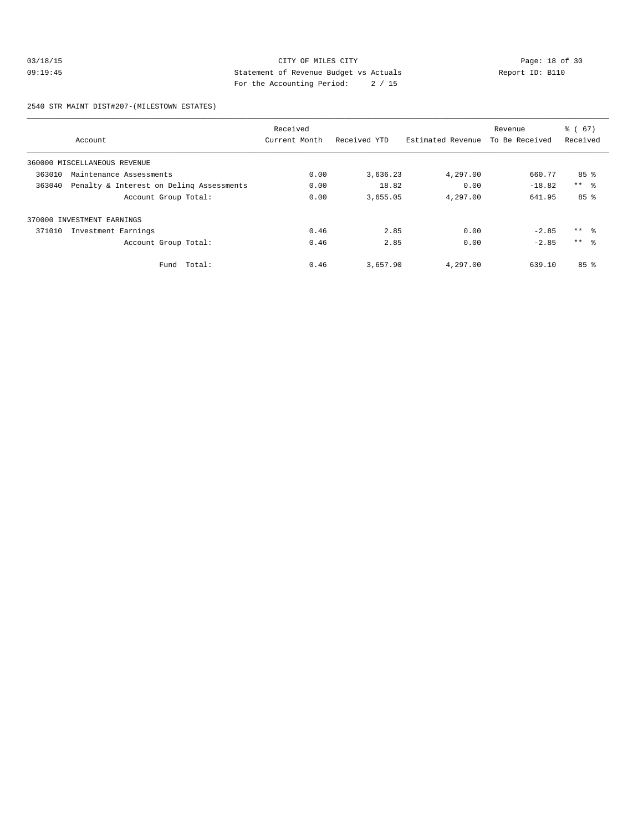## 03/18/15 Page: 18 of 30 09:19:45 Statement of Revenue Budget vs Actuals Report ID: B110 For the Accounting Period: 2 / 15

2540 STR MAINT DIST#207-(MILESTOWN ESTATES)

|        |                                          | Received      |              |                   | Revenue        | % (67)          |
|--------|------------------------------------------|---------------|--------------|-------------------|----------------|-----------------|
|        | Account                                  | Current Month | Received YTD | Estimated Revenue | To Be Received | Received        |
|        | 360000 MISCELLANEOUS REVENUE             |               |              |                   |                |                 |
| 363010 | Maintenance Assessments                  | 0.00          | 3,636.23     | 4,297.00          | 660.77         | $85$ %          |
| 363040 | Penalty & Interest on Deling Assessments | 0.00          | 18.82        | 0.00              | $-18.82$       | $***$ $ -$      |
|        | Account Group Total:                     | 0.00          | 3,655.05     | 4,297.00          | 641.95         | 85 <sup>8</sup> |
|        | 370000 INVESTMENT EARNINGS               |               |              |                   |                |                 |
| 371010 | Investment Earnings                      | 0.46          | 2.85         | 0.00              | $-2.85$        | ** 왕            |
|        | Account Group Total:                     | 0.46          | 2.85         | 0.00              | $-2.85$        | $***$ $\approx$ |
|        | Fund Total:                              | 0.46          | 3,657.90     | 4,297.00          | 639.10         | 85 <sup>8</sup> |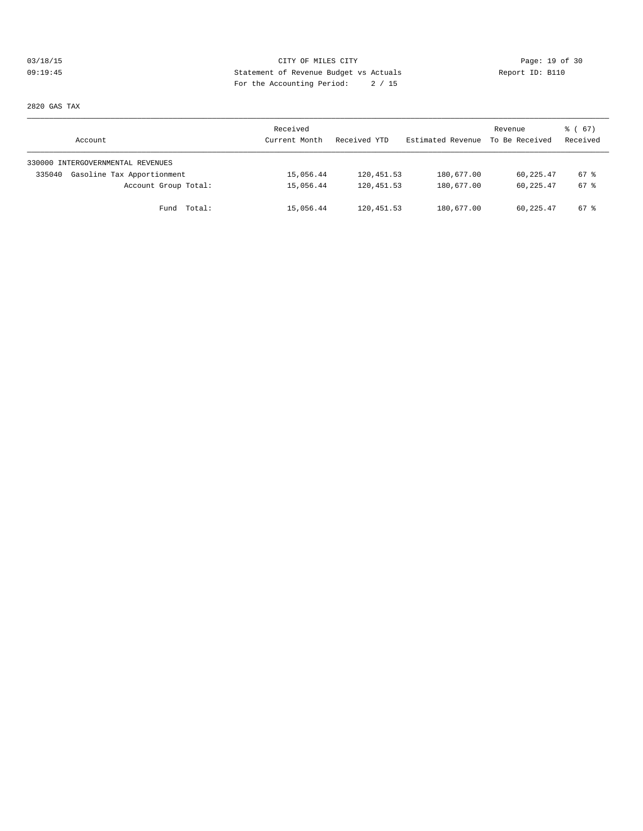# 03/18/15 Page: 19 of 30 09:19:45 Statement of Revenue Budget vs Actuals Report ID: B110 For the Accounting Period: 2 / 15

2820 GAS TAX

| Account                              | Received<br>Current Month | Received YTD | Estimated Revenue | Revenue<br>To Be Received | 8 ( 67 )<br>Received |
|--------------------------------------|---------------------------|--------------|-------------------|---------------------------|----------------------|
| 330000 INTERGOVERNMENTAL REVENUES    |                           |              |                   |                           |                      |
| Gasoline Tax Apportionment<br>335040 | 15,056.44                 | 120,451.53   | 180,677.00        | 60,225.47                 | $67$ $%$             |
| Account Group Total:                 | 15,056.44                 | 120,451.53   | 180,677.00        | 60,225.47                 | $67$ $%$             |
| Fund Total:                          | 15,056.44                 | 120,451.53   | 180,677.00        | 60,225.47                 | $67$ $%$             |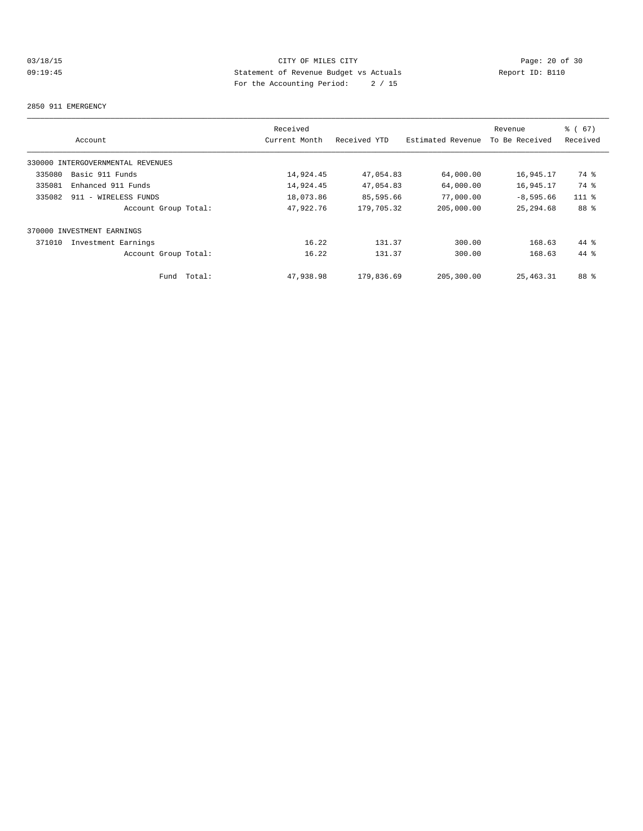# 03/18/15 Page: 20 of 30 09:19:45 Statement of Revenue Budget vs Actuals Report ID: B110 For the Accounting Period: 2 / 15

#### 2850 911 EMERGENCY

|        |                                   | Received      |              |                   | Revenue        | % (67)   |
|--------|-----------------------------------|---------------|--------------|-------------------|----------------|----------|
|        | Account                           | Current Month | Received YTD | Estimated Revenue | To Be Received | Received |
|        | 330000 INTERGOVERNMENTAL REVENUES |               |              |                   |                |          |
| 335080 | Basic 911 Funds                   | 14,924.45     | 47,054.83    | 64,000.00         | 16,945.17      | 74 %     |
| 335081 | Enhanced 911 Funds                | 14,924.45     | 47,054.83    | 64,000.00         | 16,945.17      | 74 %     |
| 335082 | 911 - WIRELESS FUNDS              | 18,073.86     | 85,595.66    | 77,000.00         | $-8,595.66$    | $111$ %  |
|        | Account Group Total:              | 47,922.76     | 179,705.32   | 205,000.00        | 25, 294.68     | 88 %     |
|        | 370000 INVESTMENT EARNINGS        |               |              |                   |                |          |
| 371010 | Investment Earnings               | 16.22         | 131.37       | 300.00            | 168.63         | $44*$    |
|        | Account Group Total:              | 16.22         | 131.37       | 300.00            | 168.63         | $44*$    |
|        | Total:<br>Fund                    | 47,938.98     | 179,836.69   | 205,300.00        | 25, 463. 31    | 88 %     |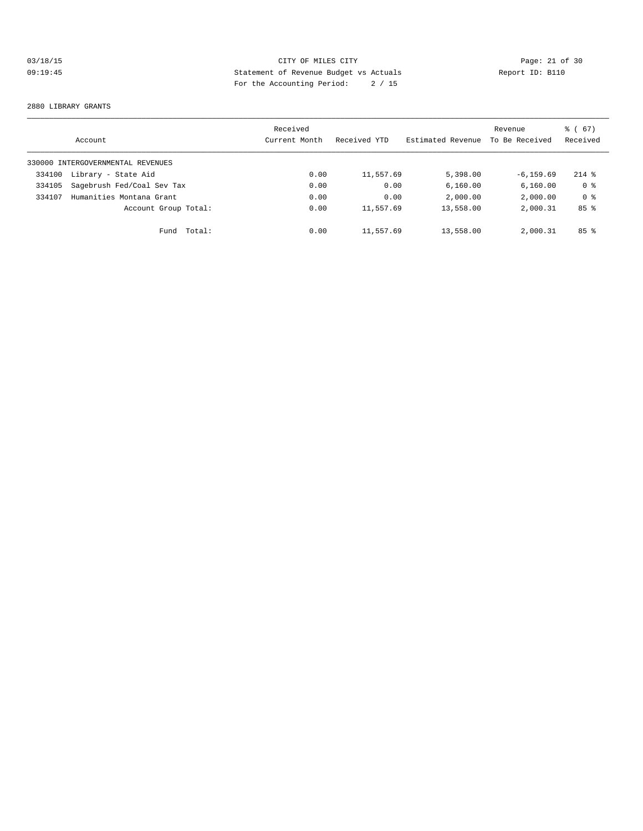# 03/18/15 CITY OF MILES CITY<br>
09:19:45 Page: 21 of 30<br>
Statement of Revenue Budget vs Actuals<br>
Page: the Accounting Pauline Pauline (1966) 09:19:45 Statement of Revenue Budget vs Actuals Report ID: B110 For the Accounting Period: 2 / 15

#### 2880 LIBRARY GRANTS

|        | Account                           | Received<br>Current Month | Received YTD | Estimated Revenue | Revenue<br>To Be Received | 67)<br>ී (<br>Received |
|--------|-----------------------------------|---------------------------|--------------|-------------------|---------------------------|------------------------|
|        | 330000 INTERGOVERNMENTAL REVENUES |                           |              |                   |                           |                        |
| 334100 | Library - State Aid               | 0.00                      | 11,557.69    | 5,398.00          | $-6, 159.69$              | $214$ %                |
| 334105 | Sagebrush Fed/Coal Sev Tax        | 0.00                      | 0.00         | 6,160.00          | 6, 160.00                 | 0 <sup>8</sup>         |
| 334107 | Humanities Montana Grant          | 0.00                      | 0.00         | 2,000.00          | 2,000.00                  | 0 <sup>8</sup>         |
|        | Account Group Total:              | 0.00                      | 11,557.69    | 13,558.00         | 2,000.31                  | 85 <sup>8</sup>        |
|        | Total:<br>Fund                    | 0.00                      | 11,557.69    | 13,558.00         | 2,000.31                  | 85 <sup>8</sup>        |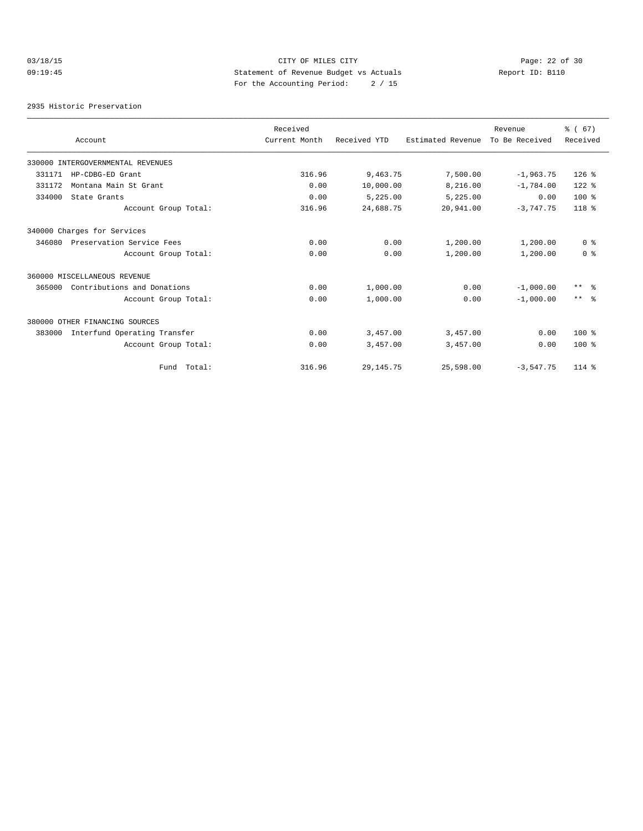# 03/18/15 Page: 22 of 30 09:19:45 Statement of Revenue Budget vs Actuals Report ID: B110 For the Accounting Period: 2 / 15

2935 Historic Preservation

|        |                                   | Received      |              |                   | Revenue        | % (67)            |
|--------|-----------------------------------|---------------|--------------|-------------------|----------------|-------------------|
|        | Account                           | Current Month | Received YTD | Estimated Revenue | To Be Received | Received          |
|        | 330000 INTERGOVERNMENTAL REVENUES |               |              |                   |                |                   |
| 331171 | HP-CDBG-ED Grant                  | 316.96        | 9,463.75     | 7,500.00          | $-1,963.75$    | $126$ %           |
| 331172 | Montana Main St Grant             | 0.00          | 10,000.00    | 8,216.00          | $-1,784.00$    | $122$ %           |
| 334000 | State Grants                      | 0.00          | 5,225.00     | 5,225.00          | 0.00           | $100*$            |
|        | Account Group Total:              | 316.96        | 24,688.75    | 20,941.00         | $-3,747.75$    | $118*$            |
|        | 340000 Charges for Services       |               |              |                   |                |                   |
| 346080 | Preservation Service Fees         | 0.00          | 0.00         | 1,200.00          | 1,200.00       | 0 <sup>8</sup>    |
|        | Account Group Total:              | 0.00          | 0.00         | 1,200.00          | 1,200.00       | 0 <sup>8</sup>    |
|        | 360000 MISCELLANEOUS REVENUE      |               |              |                   |                |                   |
| 365000 | Contributions and Donations       | 0.00          | 1,000.00     | 0.00              | $-1,000.00$    | $\star\star$<br>း |
|        | Account Group Total:              | 0.00          | 1,000.00     | 0.00              | $-1,000.00$    | $***$ $\approx$   |
|        | 380000 OTHER FINANCING SOURCES    |               |              |                   |                |                   |
| 383000 | Interfund Operating Transfer      | 0.00          | 3,457.00     | 3,457.00          | 0.00           | $100*$            |
|        | Account Group Total:              | 0.00          | 3,457.00     | 3,457.00          | 0.00           | $100*$            |
|        | Fund Total:                       | 316.96        | 29, 145. 75  | 25,598.00         | $-3,547.75$    | $114*$            |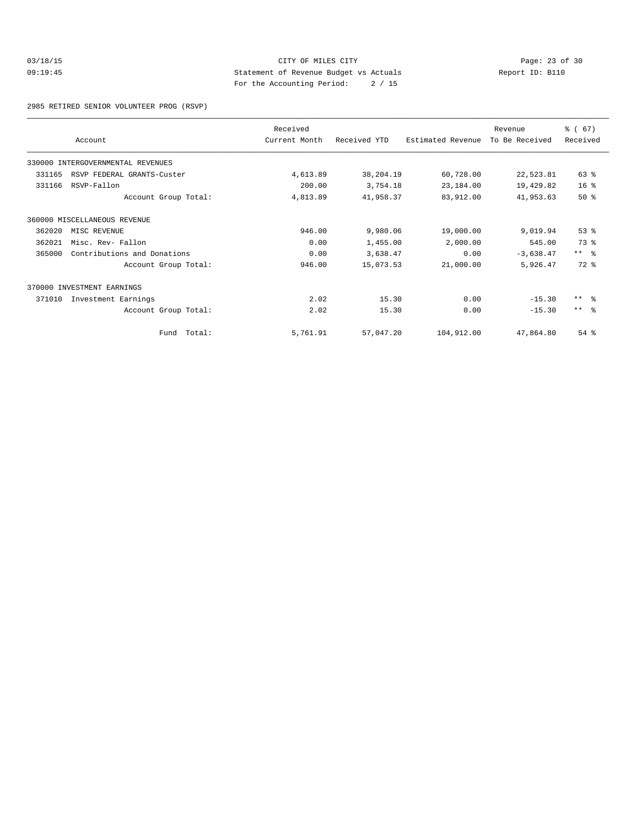## 03/18/15 Page: 23 of 30 09:19:45 Statement of Revenue Budget vs Actuals Report ID: B110 For the Accounting Period: 2 / 15

2985 RETIRED SENIOR VOLUNTEER PROG (RSVP)

|        |                                   | Received      |              |                   | Revenue        | % (67)          |
|--------|-----------------------------------|---------------|--------------|-------------------|----------------|-----------------|
|        | Account                           | Current Month | Received YTD | Estimated Revenue | To Be Received | Received        |
|        | 330000 INTERGOVERNMENTAL REVENUES |               |              |                   |                |                 |
| 331165 | RSVP FEDERAL GRANTS-Custer        | 4,613.89      | 38,204.19    | 60,728.00         | 22,523.81      | 63 %            |
| 331166 | RSVP-Fallon                       | 200.00        | 3,754.18     | 23,184.00         | 19,429.82      | 16 <sup>°</sup> |
|        | Account Group Total:              | 4,813.89      | 41,958.37    | 83,912.00         | 41,953.63      | 50%             |
|        | 360000 MISCELLANEOUS REVENUE      |               |              |                   |                |                 |
| 362020 | MISC REVENUE                      | 946.00        | 9,980.06     | 19,000.00         | 9,019.94       | 53%             |
| 362021 | Misc. Rev- Fallon                 | 0.00          | 1,455.00     | 2,000.00          | 545.00         | 73 %            |
| 365000 | Contributions and Donations       | 0.00          | 3,638.47     | 0.00              | $-3,638.47$    | $***$ $ -$      |
|        | Account Group Total:              | 946.00        | 15,073.53    | 21,000.00         | 5,926.47       | $72$ $%$        |
|        | 370000 INVESTMENT EARNINGS        |               |              |                   |                |                 |
| 371010 | Investment Earnings               | 2.02          | 15.30        | 0.00              | $-15.30$       | $***$ $\approx$ |
|        | Account Group Total:              | 2.02          | 15.30        | 0.00              | $-15.30$       | $***$ $\approx$ |
|        | Fund Total:                       | 5,761.91      | 57,047.20    | 104,912.00        | 47,864.80      | $54$ $%$        |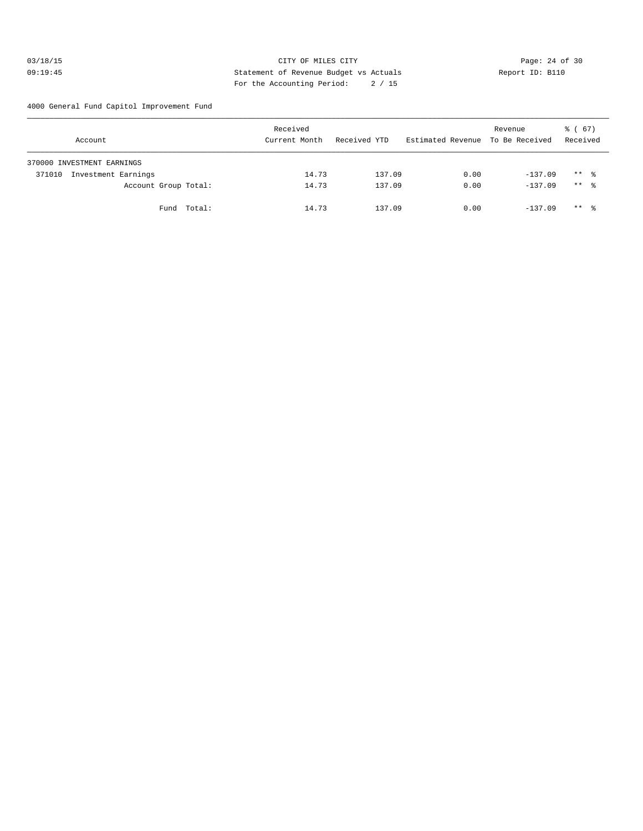## 03/18/15 Page: 24 of 30 09:19:45 Statement of Revenue Budget vs Actuals Report ID: B110 For the Accounting Period: 2 / 15

4000 General Fund Capitol Improvement Fund

| Account                       | Received<br>Current Month | Received YTD | Estimated Revenue To Be Received | Revenue   | 8 ( 67 )<br>Received |
|-------------------------------|---------------------------|--------------|----------------------------------|-----------|----------------------|
| 370000 INVESTMENT EARNINGS    |                           |              |                                  |           |                      |
| Investment Earnings<br>371010 | 14.73                     | 137.09       | 0.00                             | $-137.09$ | $***$ %              |
| Account Group Total:          | 14.73                     | 137.09       | 0.00                             | $-137.09$ | $***$ $\approx$      |
| Fund Total:                   | 14.73                     | 137.09       | 0.00                             | $-137.09$ | $***$ %              |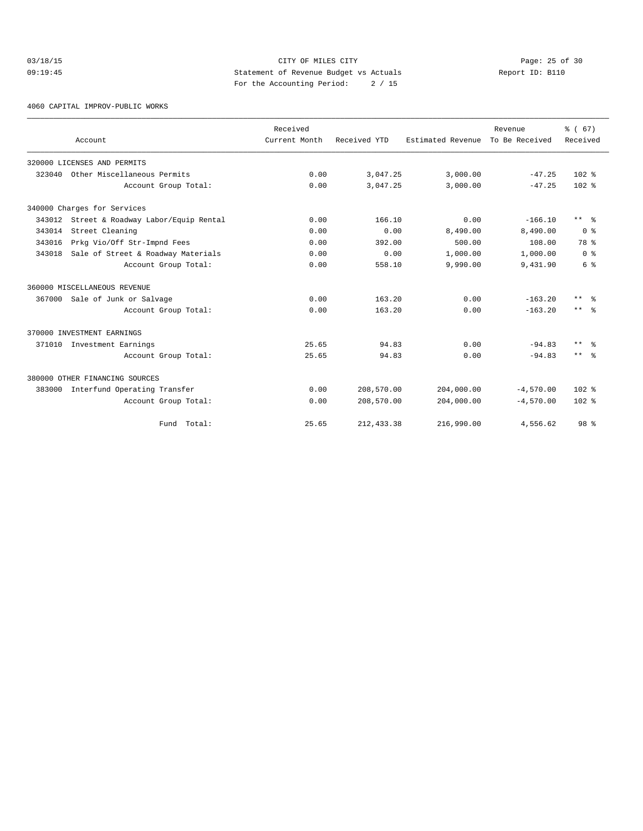## 03/18/15 Page: 25 of 30 09:19:45 Statement of Revenue Budget vs Actuals Report ID: B110 For the Accounting Period: 2 / 15

4060 CAPITAL IMPROV-PUBLIC WORKS

|        | Account                             | Received<br>Current Month | Received YTD | Estimated Revenue To Be Received | Revenue     | % (67)<br>Received   |
|--------|-------------------------------------|---------------------------|--------------|----------------------------------|-------------|----------------------|
|        | 320000 LICENSES AND PERMITS         |                           |              |                                  |             |                      |
| 323040 | Other Miscellaneous Permits         | 0.00                      | 3,047.25     | 3,000.00                         | $-47.25$    | $102*$               |
|        | Account Group Total:                | 0.00                      | 3,047.25     | 3,000.00                         | $-47.25$    | $102*$               |
|        | 340000 Charges for Services         |                           |              |                                  |             |                      |
| 343012 | Street & Roadway Labor/Equip Rental | 0.00                      | 166.10       | 0.00                             | $-166.10$   | $***$ $ \frac{6}{9}$ |
| 343014 | Street Cleaning                     | 0.00                      | 0.00         | 8,490.00                         | 8,490.00    | 0 <sup>8</sup>       |
| 343016 | Prkg Vio/Off Str-Impnd Fees         | 0.00                      | 392.00       | 500.00                           | 108.00      | 78 %                 |
| 343018 | Sale of Street & Roadway Materials  | 0.00                      | 0.00         | 1,000.00                         | 1,000.00    | 0 <sup>8</sup>       |
|        | Account Group Total:                | 0.00                      | 558.10       | 9,990.00                         | 9,431.90    | 6 %                  |
|        | 360000 MISCELLANEOUS REVENUE        |                           |              |                                  |             |                      |
|        | 367000 Sale of Junk or Salvage      | 0.00                      | 163.20       | 0.00                             | $-163.20$   | $***$ $\approx$      |
|        | Account Group Total:                | 0.00                      | 163.20       | 0.00                             | $-163.20$   | $***$ $\approx$      |
|        | 370000 INVESTMENT EARNINGS          |                           |              |                                  |             |                      |
| 371010 | Investment Earnings                 | 25.65                     | 94.83        | 0.00                             | $-94.83$    | $***$<br>- 옹         |
|        | Account Group Total:                | 25.65                     | 94.83        | 0.00                             | $-94.83$    | $***$ $\approx$      |
|        | 380000 OTHER FINANCING SOURCES      |                           |              |                                  |             |                      |
| 383000 | Interfund Operating Transfer        | 0.00                      | 208,570.00   | 204,000.00                       | $-4,570.00$ | $102$ $%$            |
|        | Account Group Total:                | 0.00                      | 208,570.00   | 204,000.00                       | $-4,570.00$ | $102*$               |
|        | Fund Total:                         | 25.65                     | 212, 433.38  | 216,990.00                       | 4,556.62    | 98 <sup>8</sup>      |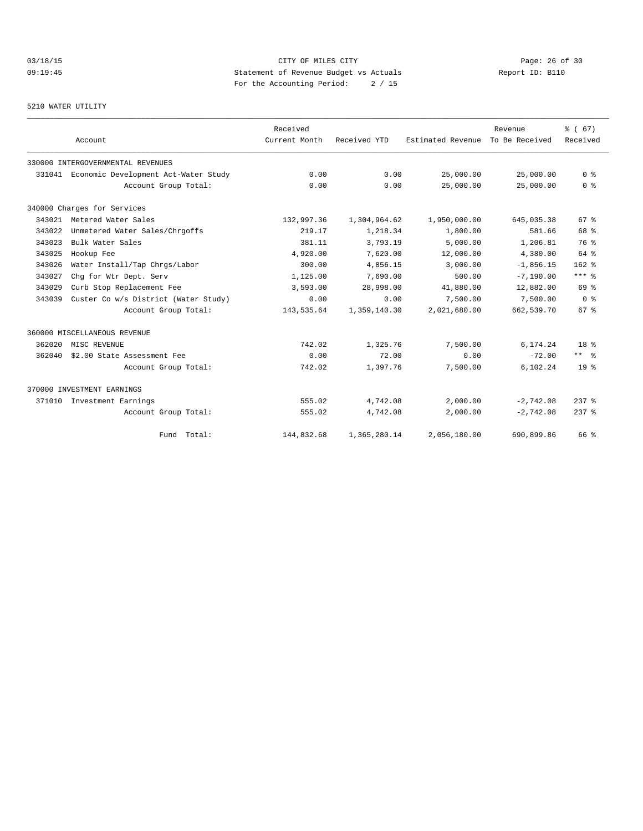# 03/18/15 Page: 26 of 30 09:19:45 Statement of Revenue Budget vs Actuals Report ID: B110 For the Accounting Period: 2 / 15

#### 5210 WATER UTILITY

|        |                                             | Received      |              |                   | Revenue        | % (67)          |
|--------|---------------------------------------------|---------------|--------------|-------------------|----------------|-----------------|
|        | Account                                     | Current Month | Received YTD | Estimated Revenue | To Be Received | Received        |
|        | 330000 INTERGOVERNMENTAL REVENUES           |               |              |                   |                |                 |
|        | 331041 Economic Development Act-Water Study | 0.00          | 0.00         | 25,000.00         | 25,000.00      | 0 <sup>8</sup>  |
|        | Account Group Total:                        | 0.00          | 0.00         | 25,000.00         | 25,000.00      | 0 <sup>8</sup>  |
|        | 340000 Charges for Services                 |               |              |                   |                |                 |
| 343021 | Metered Water Sales                         | 132,997.36    | 1,304,964.62 | 1,950,000.00      | 645,035.38     | 67 <sup>8</sup> |
| 343022 | Unmetered Water Sales/Chrgoffs              | 219.17        | 1,218.34     | 1,800.00          | 581.66         | 68 %            |
| 343023 | Bulk Water Sales                            | 381.11        | 3,793.19     | 5,000.00          | 1,206.81       | 76 %            |
| 343025 | Hookup Fee                                  | 4,920.00      | 7,620.00     | 12,000.00         | 4,380.00       | 64 %            |
| 343026 | Water Install/Tap Chrgs/Labor               | 300.00        | 4,856.15     | 3,000.00          | $-1.856.15$    | $162$ %         |
| 343027 | Chq for Wtr Dept. Serv                      | 1,125.00      | 7,690.00     | 500.00            | $-7, 190.00$   | $***$ 8         |
| 343029 | Curb Stop Replacement Fee                   | 3,593.00      | 28,998.00    | 41,880.00         | 12,882.00      | 69 %            |
| 343039 | Custer Co w/s District (Water Study)        | 0.00          | 0.00         | 7,500.00          | 7,500.00       | 0 <sup>8</sup>  |
|        | Account Group Total:                        | 143,535.64    | 1,359,140.30 | 2,021,680.00      | 662,539.70     | 67 <sup>8</sup> |
|        | 360000 MISCELLANEOUS REVENUE                |               |              |                   |                |                 |
| 362020 | MISC REVENUE                                | 742.02        | 1,325.76     | 7,500.00          | 6,174.24       | 18 <sup>8</sup> |
| 362040 | \$2.00 State Assessment Fee                 | 0.00          | 72.00        | 0.00              | $-72.00$       | $***$ $\approx$ |
|        | Account Group Total:                        | 742.02        | 1,397.76     | 7,500.00          | 6.102.24       | 19 <sup>°</sup> |
|        | 370000 INVESTMENT EARNINGS                  |               |              |                   |                |                 |
| 371010 | Investment Earnings                         | 555.02        | 4,742.08     | 2,000.00          | $-2,742.08$    | $237$ $%$       |
|        | Account Group Total:                        | 555.02        | 4,742.08     | 2,000.00          | $-2,742.08$    | $237$ $%$       |
|        | Fund Total:                                 | 144,832.68    | 1,365,280.14 | 2,056,180.00      | 690,899.86     | 66 %            |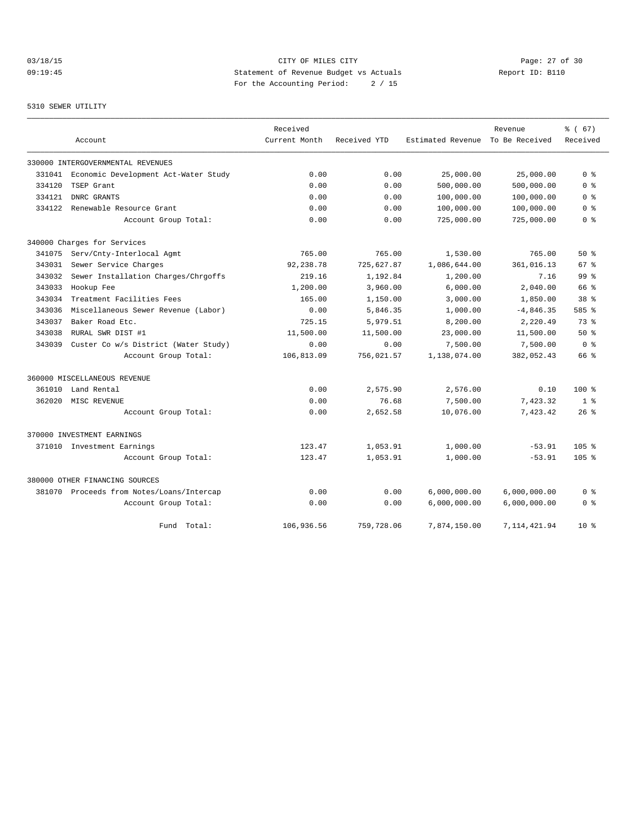# 03/18/15 Page: 27 of 30 09:19:45 Statement of Revenue Budget vs Actuals Report ID: B110 For the Accounting Period: 2 / 15

#### 5310 SEWER UTILITY

|        |                                           | Received      |              |                   | Revenue        | % (67)           |
|--------|-------------------------------------------|---------------|--------------|-------------------|----------------|------------------|
|        | Account                                   | Current Month | Received YTD | Estimated Revenue | To Be Received | Received         |
|        | 330000 INTERGOVERNMENTAL REVENUES         |               |              |                   |                |                  |
| 331041 | Economic Development Act-Water Study      | 0.00          | 0.00         | 25,000.00         | 25,000.00      | 0 <sup>8</sup>   |
| 334120 | TSEP Grant                                | 0.00          | 0.00         | 500,000.00        | 500,000.00     | 0 <sup>8</sup>   |
| 334121 | DNRC GRANTS                               | 0.00          | 0.00         | 100,000.00        | 100,000.00     | 0 %              |
| 334122 | Renewable Resource Grant                  | 0.00          | 0.00         | 100,000.00        | 100,000.00     | 0 <sup>8</sup>   |
|        | Account Group Total:                      | 0.00          | 0.00         | 725,000.00        | 725,000.00     | 0 %              |
|        | 340000 Charges for Services               |               |              |                   |                |                  |
| 341075 | Serv/Cnty-Interlocal Agmt                 | 765.00        | 765.00       | 1,530.00          | 765.00         | 50%              |
| 343031 | Sewer Service Charges                     | 92,238.78     | 725,627.87   | 1,086,644.00      | 361,016.13     | 67 <sup>8</sup>  |
| 343032 | Sewer Installation Charges/Chrgoffs       | 219.16        | 1,192.84     | 1,200.00          | 7.16           | 99 <sup>8</sup>  |
| 343033 | Hookup Fee                                | 1,200.00      | 3,960.00     | 6,000.00          | 2,040.00       | 66 %             |
| 343034 | Treatment Facilities Fees                 | 165.00        | 1,150.00     | 3,000.00          | 1,850.00       | 38 <sup>8</sup>  |
| 343036 | Miscellaneous Sewer Revenue (Labor)       | 0.00          | 5,846.35     | 1,000.00          | $-4,846.35$    | 585 %            |
| 343037 | Baker Road Etc.                           | 725.15        | 5,979.51     | 8,200.00          | 2,220.49       | 73.8             |
| 343038 | RURAL SWR DIST #1                         | 11,500.00     | 11,500.00    | 23,000.00         | 11,500.00      | 50%              |
| 343039 | Custer Co w/s District (Water Study)      | 0.00          | 0.00         | 7,500.00          | 7,500.00       | 0 <sup>8</sup>   |
|        | Account Group Total:                      | 106,813.09    | 756,021.57   | 1,138,074.00      | 382,052.43     | 66 %             |
|        | 360000 MISCELLANEOUS REVENUE              |               |              |                   |                |                  |
| 361010 | Land Rental                               | 0.00          | 2,575.90     | 2,576.00          | 0.10           | $100*$           |
| 362020 | MISC REVENUE                              | 0.00          | 76.68        | 7,500.00          | 7,423.32       | 1 <sup>8</sup>   |
|        | Account Group Total:                      | 0.00          | 2,652.58     | 10,076.00         | 7,423.42       | $26$ %           |
|        | 370000 INVESTMENT EARNINGS                |               |              |                   |                |                  |
| 371010 | Investment Earnings                       | 123.47        | 1,053.91     | 1,000.00          | $-53.91$       | 105 <sub>8</sub> |
|        | Account Group Total:                      | 123.47        | 1,053.91     | 1,000.00          | $-53.91$       | 105 <sub>8</sub> |
|        | 380000 OTHER FINANCING SOURCES            |               |              |                   |                |                  |
|        | 381070 Proceeds from Notes/Loans/Intercap | 0.00          | 0.00         | 6,000,000.00      | 6,000,000.00   | 0 %              |
|        | Account Group Total:                      | 0.00          | 0.00         | 6,000,000.00      | 6,000,000.00   | 0 <sup>8</sup>   |
|        | Fund Total:                               | 106,936.56    | 759,728.06   | 7,874,150.00      | 7, 114, 421.94 | $10*$            |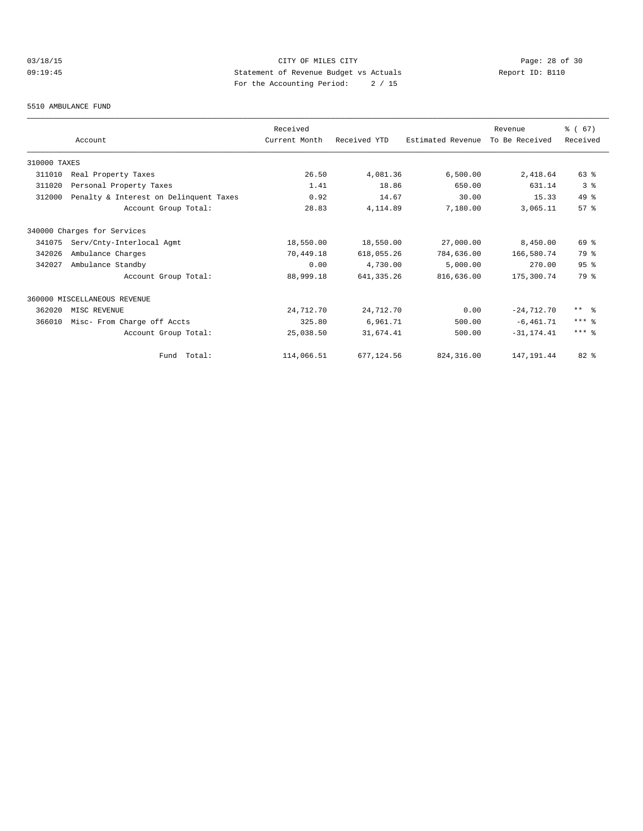# 03/18/15 Page: 28 of 30 09:19:45 Statement of Revenue Budget vs Actuals Report ID: B110 For the Accounting Period: 2 / 15

#### 5510 AMBULANCE FUND

|              |                                        | Received      |              |                   | Revenue        | % (67)     |
|--------------|----------------------------------------|---------------|--------------|-------------------|----------------|------------|
|              | Account                                | Current Month | Received YTD | Estimated Revenue | To Be Received | Received   |
| 310000 TAXES |                                        |               |              |                   |                |            |
| 311010       | Real Property Taxes                    | 26.50         | 4,081.36     | 6,500.00          | 2,418.64       | $63$ $%$   |
| 311020       | Personal Property Taxes                | 1.41          | 18.86        | 650.00            | 631.14         | 3%         |
| 312000       | Penalty & Interest on Delinquent Taxes | 0.92          | 14.67        | 30.00             | 15.33          | $49*$      |
|              | Account Group Total:                   | 28.83         | 4,114.89     | 7,180.00          | 3,065.11       | 57%        |
|              | 340000 Charges for Services            |               |              |                   |                |            |
| 341075       | Serv/Cnty-Interlocal Agmt              | 18,550.00     | 18,550.00    | 27,000.00         | 8,450.00       | 69 %       |
| 342026       | Ambulance Charges                      | 70,449.18     | 618,055.26   | 784,636.00        | 166,580.74     | 79 %       |
| 342027       | Ambulance Standby                      | 0.00          | 4,730.00     | 5,000.00          | 270.00         | 95%        |
|              | Account Group Total:                   | 88,999.18     | 641, 335.26  | 816,636.00        | 175,300.74     | 79 %       |
|              | 360000 MISCELLANEOUS REVENUE           |               |              |                   |                |            |
| 362020       | MISC REVENUE                           | 24,712.70     | 24,712.70    | 0.00              | $-24,712.70$   | $***$ $ -$ |
| 366010       | Misc- From Charge off Accts            | 325.80        | 6,961.71     | 500.00            | $-6,461.71$    | $***$ $%$  |
|              | Account Group Total:                   | 25,038.50     | 31,674.41    | 500.00            | $-31, 174.41$  | $***$ %    |
|              | Fund Total:                            | 114,066.51    | 677,124.56   | 824, 316.00       | 147, 191.44    | $82$ %     |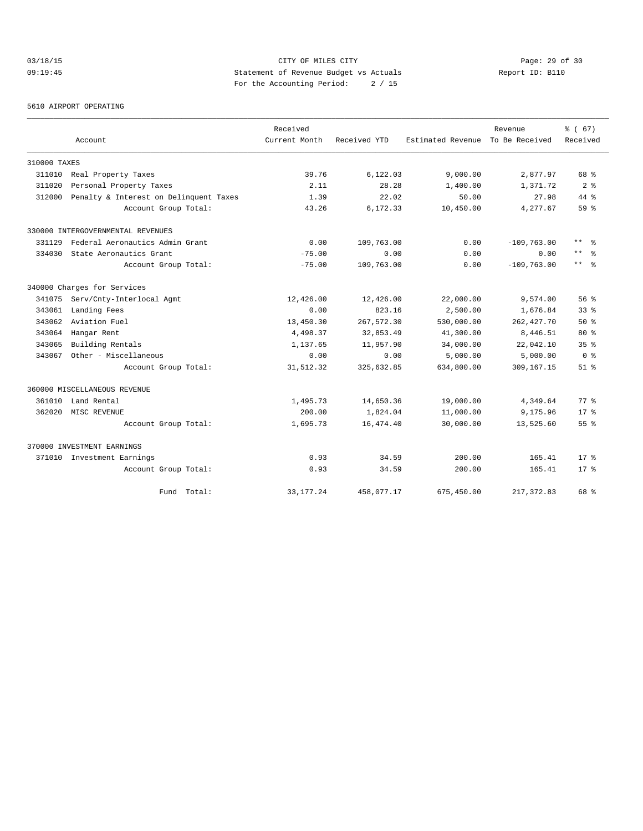# 03/18/15 Page: 29 of 30 09:19:45 Statement of Revenue Budget vs Actuals Report ID: B110 For the Accounting Period: 2 / 15

5610 AIRPORT OPERATING

|              |                                        | Received      |              |                   | Revenue        | 8 ( 67)         |
|--------------|----------------------------------------|---------------|--------------|-------------------|----------------|-----------------|
|              | Account                                | Current Month | Received YTD | Estimated Revenue | To Be Received | Received        |
| 310000 TAXES |                                        |               |              |                   |                |                 |
| 311010       | Real Property Taxes                    | 39.76         | 6,122.03     | 9,000.00          | 2,877.97       | 68 %            |
| 311020       | Personal Property Taxes                | 2.11          | 28.28        | 1,400.00          | 1,371.72       | 2 <sup>8</sup>  |
| 312000       | Penalty & Interest on Delinquent Taxes | 1.39          | 22.02        | 50.00             | 27.98          | $44*$           |
|              | Account Group Total:                   | 43.26         | 6,172.33     | 10,450.00         | 4,277.67       | 59 %            |
|              | 330000 INTERGOVERNMENTAL REVENUES      |               |              |                   |                |                 |
| 331129       | Federal Aeronautics Admin Grant        | 0.00          | 109,763.00   | 0.00              | $-109,763.00$  | $***$<br>ু ≳    |
| 334030       | State Aeronautics Grant                | $-75.00$      | 0.00         | 0.00              | 0.00           | $\star\star$    |
|              | Account Group Total:                   | $-75.00$      | 109,763.00   | 0.00              | $-109,763.00$  | $***$ $ -$      |
|              | 340000 Charges for Services            |               |              |                   |                |                 |
| 341075       | Serv/Cnty-Interlocal Agmt              | 12,426.00     | 12,426.00    | 22,000.00         | 9,574.00       | 56%             |
| 343061       | Landing Fees                           | 0.00          | 823.16       | 2,500.00          | 1,676.84       | 33 <sup>8</sup> |
| 343062       | Aviation Fuel                          | 13,450.30     | 267,572.30   | 530,000.00        | 262, 427.70    | $50*$           |
| 343064       | Hangar Rent                            | 4,498.37      | 32,853.49    | 41,300.00         | 8,446.51       | $80*$           |
| 343065       | Building Rentals                       | 1,137.65      | 11,957.90    | 34,000.00         | 22,042.10      | 35 <sup>8</sup> |
| 343067       | Other - Miscellaneous                  | 0.00          | 0.00         | 5,000.00          | 5,000.00       | 0 <sup>8</sup>  |
|              | Account Group Total:                   | 31,512.32     | 325,632.85   | 634,800.00        | 309,167.15     | $51$ $%$        |
|              | 360000 MISCELLANEOUS REVENUE           |               |              |                   |                |                 |
| 361010       | Land Rental                            | 1,495.73      | 14,650.36    | 19,000.00         | 4,349.64       | $77*$           |
| 362020       | MISC REVENUE                           | 200.00        | 1,824.04     | 11,000.00         | 9,175.96       | 17.8            |
|              | Account Group Total:                   | 1,695.73      | 16,474.40    | 30,000.00         | 13,525.60      | 55 <sup>8</sup> |
|              | 370000 INVESTMENT EARNINGS             |               |              |                   |                |                 |
|              | 371010 Investment Earnings             | 0.93          | 34.59        | 200.00            | 165.41         | $17*$           |
|              | Account Group Total:                   | 0.93          | 34.59        | 200.00            | 165.41         | $17*$           |
|              | Fund Total:                            | 33, 177. 24   | 458,077.17   | 675,450.00        | 217, 372.83    | 68 %            |